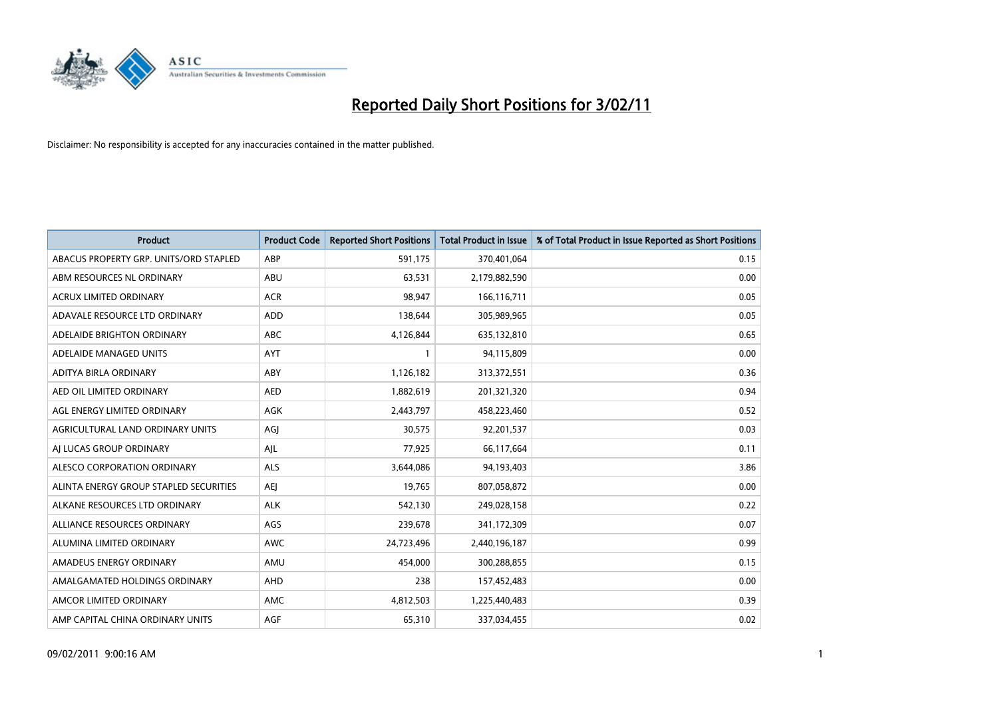

| <b>Product</b>                         | <b>Product Code</b> | <b>Reported Short Positions</b> | Total Product in Issue | % of Total Product in Issue Reported as Short Positions |
|----------------------------------------|---------------------|---------------------------------|------------------------|---------------------------------------------------------|
| ABACUS PROPERTY GRP. UNITS/ORD STAPLED | ABP                 | 591,175                         | 370,401,064            | 0.15                                                    |
| ABM RESOURCES NL ORDINARY              | <b>ABU</b>          | 63,531                          | 2,179,882,590          | 0.00                                                    |
| <b>ACRUX LIMITED ORDINARY</b>          | <b>ACR</b>          | 98,947                          | 166,116,711            | 0.05                                                    |
| ADAVALE RESOURCE LTD ORDINARY          | <b>ADD</b>          | 138,644                         | 305,989,965            | 0.05                                                    |
| ADELAIDE BRIGHTON ORDINARY             | <b>ABC</b>          | 4,126,844                       | 635,132,810            | 0.65                                                    |
| ADELAIDE MANAGED UNITS                 | AYT                 |                                 | 94,115,809             | 0.00                                                    |
| ADITYA BIRLA ORDINARY                  | ABY                 | 1,126,182                       | 313,372,551            | 0.36                                                    |
| AED OIL LIMITED ORDINARY               | <b>AED</b>          | 1,882,619                       | 201,321,320            | 0.94                                                    |
| AGL ENERGY LIMITED ORDINARY            | <b>AGK</b>          | 2,443,797                       | 458,223,460            | 0.52                                                    |
| AGRICULTURAL LAND ORDINARY UNITS       | AGI                 | 30.575                          | 92,201,537             | 0.03                                                    |
| AI LUCAS GROUP ORDINARY                | AJL                 | 77,925                          | 66,117,664             | 0.11                                                    |
| ALESCO CORPORATION ORDINARY            | <b>ALS</b>          | 3,644,086                       | 94,193,403             | 3.86                                                    |
| ALINTA ENERGY GROUP STAPLED SECURITIES | <b>AEI</b>          | 19,765                          | 807,058,872            | 0.00                                                    |
| ALKANE RESOURCES LTD ORDINARY          | <b>ALK</b>          | 542,130                         | 249,028,158            | 0.22                                                    |
| ALLIANCE RESOURCES ORDINARY            | AGS                 | 239,678                         | 341,172,309            | 0.07                                                    |
| ALUMINA LIMITED ORDINARY               | <b>AWC</b>          | 24,723,496                      | 2,440,196,187          | 0.99                                                    |
| AMADEUS ENERGY ORDINARY                | AMU                 | 454,000                         | 300,288,855            | 0.15                                                    |
| AMALGAMATED HOLDINGS ORDINARY          | <b>AHD</b>          | 238                             | 157,452,483            | 0.00                                                    |
| AMCOR LIMITED ORDINARY                 | <b>AMC</b>          | 4,812,503                       | 1,225,440,483          | 0.39                                                    |
| AMP CAPITAL CHINA ORDINARY UNITS       | <b>AGF</b>          | 65,310                          | 337,034,455            | 0.02                                                    |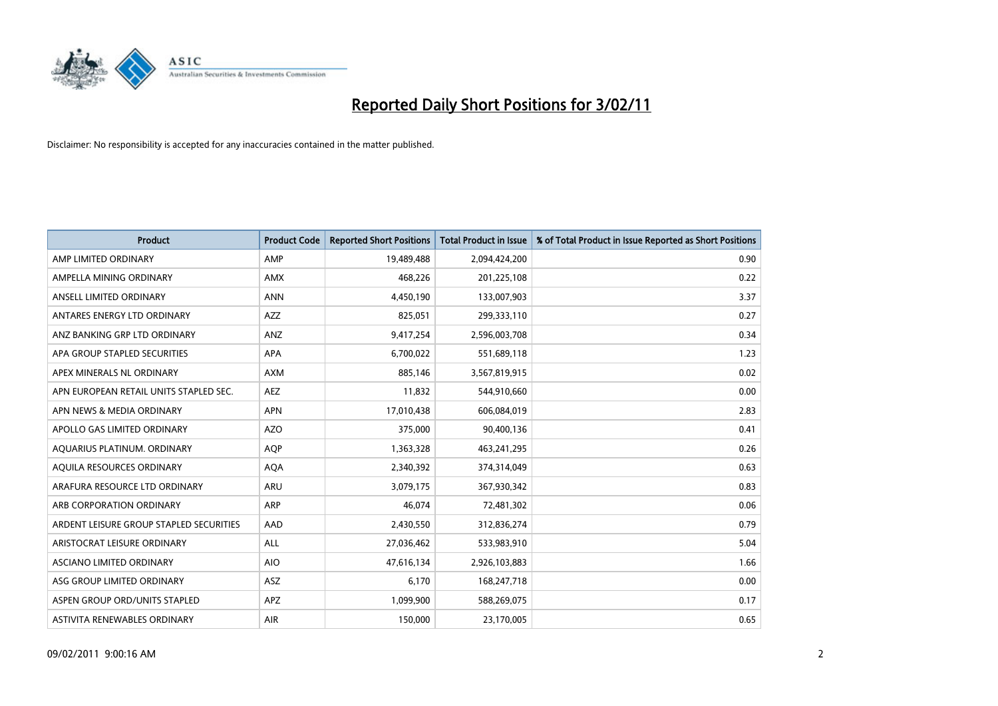

| <b>Product</b>                          | <b>Product Code</b> | <b>Reported Short Positions</b> | <b>Total Product in Issue</b> | % of Total Product in Issue Reported as Short Positions |
|-----------------------------------------|---------------------|---------------------------------|-------------------------------|---------------------------------------------------------|
| AMP LIMITED ORDINARY                    | AMP                 | 19,489,488                      | 2,094,424,200                 | 0.90                                                    |
| AMPELLA MINING ORDINARY                 | <b>AMX</b>          | 468,226                         | 201,225,108                   | 0.22                                                    |
| ANSELL LIMITED ORDINARY                 | <b>ANN</b>          | 4,450,190                       | 133,007,903                   | 3.37                                                    |
| ANTARES ENERGY LTD ORDINARY             | <b>AZZ</b>          | 825,051                         | 299,333,110                   | 0.27                                                    |
| ANZ BANKING GRP LTD ORDINARY            | <b>ANZ</b>          | 9,417,254                       | 2,596,003,708                 | 0.34                                                    |
| APA GROUP STAPLED SECURITIES            | <b>APA</b>          | 6,700,022                       | 551,689,118                   | 1.23                                                    |
| APEX MINERALS NL ORDINARY               | <b>AXM</b>          | 885,146                         | 3,567,819,915                 | 0.02                                                    |
| APN EUROPEAN RETAIL UNITS STAPLED SEC.  | <b>AEZ</b>          | 11,832                          | 544,910,660                   | 0.00                                                    |
| APN NEWS & MEDIA ORDINARY               | <b>APN</b>          | 17,010,438                      | 606,084,019                   | 2.83                                                    |
| APOLLO GAS LIMITED ORDINARY             | <b>AZO</b>          | 375,000                         | 90,400,136                    | 0.41                                                    |
| AQUARIUS PLATINUM. ORDINARY             | <b>AQP</b>          | 1,363,328                       | 463,241,295                   | 0.26                                                    |
| AQUILA RESOURCES ORDINARY               | <b>AQA</b>          | 2,340,392                       | 374,314,049                   | 0.63                                                    |
| ARAFURA RESOURCE LTD ORDINARY           | <b>ARU</b>          | 3,079,175                       | 367,930,342                   | 0.83                                                    |
| ARB CORPORATION ORDINARY                | ARP                 | 46.074                          | 72,481,302                    | 0.06                                                    |
| ARDENT LEISURE GROUP STAPLED SECURITIES | AAD                 | 2,430,550                       | 312,836,274                   | 0.79                                                    |
| ARISTOCRAT LEISURE ORDINARY             | <b>ALL</b>          | 27,036,462                      | 533,983,910                   | 5.04                                                    |
| <b>ASCIANO LIMITED ORDINARY</b>         | <b>AIO</b>          | 47,616,134                      | 2,926,103,883                 | 1.66                                                    |
| ASG GROUP LIMITED ORDINARY              | ASZ                 | 6,170                           | 168,247,718                   | 0.00                                                    |
| ASPEN GROUP ORD/UNITS STAPLED           | <b>APZ</b>          | 1,099,900                       | 588,269,075                   | 0.17                                                    |
| ASTIVITA RENEWABLES ORDINARY            | AIR                 | 150,000                         | 23,170,005                    | 0.65                                                    |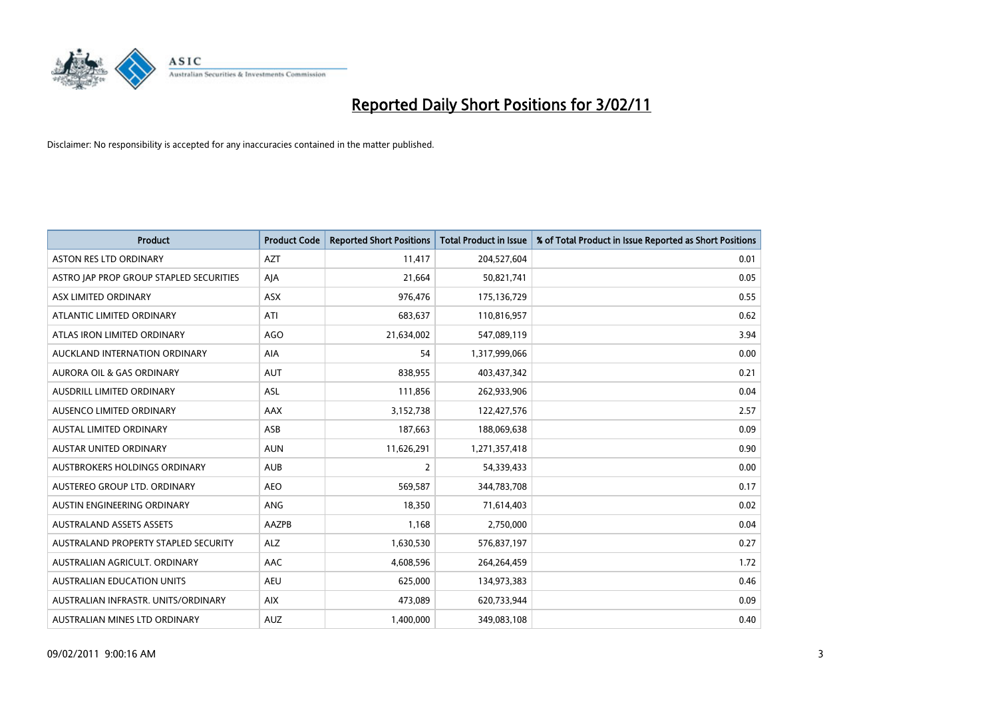

| <b>Product</b>                          | <b>Product Code</b> | <b>Reported Short Positions</b> | Total Product in Issue | % of Total Product in Issue Reported as Short Positions |
|-----------------------------------------|---------------------|---------------------------------|------------------------|---------------------------------------------------------|
| <b>ASTON RES LTD ORDINARY</b>           | <b>AZT</b>          | 11,417                          | 204,527,604            | 0.01                                                    |
| ASTRO JAP PROP GROUP STAPLED SECURITIES | AIA                 | 21,664                          | 50,821,741             | 0.05                                                    |
| ASX LIMITED ORDINARY                    | ASX                 | 976,476                         | 175,136,729            | 0.55                                                    |
| ATLANTIC LIMITED ORDINARY               | ATI                 | 683,637                         | 110,816,957            | 0.62                                                    |
| ATLAS IRON LIMITED ORDINARY             | <b>AGO</b>          | 21,634,002                      | 547,089,119            | 3.94                                                    |
| AUCKLAND INTERNATION ORDINARY           | <b>AIA</b>          | 54                              | 1,317,999,066          | 0.00                                                    |
| <b>AURORA OIL &amp; GAS ORDINARY</b>    | <b>AUT</b>          | 838,955                         | 403,437,342            | 0.21                                                    |
| <b>AUSDRILL LIMITED ORDINARY</b>        | <b>ASL</b>          | 111,856                         | 262,933,906            | 0.04                                                    |
| AUSENCO LIMITED ORDINARY                | <b>AAX</b>          | 3,152,738                       | 122,427,576            | 2.57                                                    |
| <b>AUSTAL LIMITED ORDINARY</b>          | ASB                 | 187,663                         | 188,069,638            | 0.09                                                    |
| <b>AUSTAR UNITED ORDINARY</b>           | <b>AUN</b>          | 11,626,291                      | 1,271,357,418          | 0.90                                                    |
| AUSTBROKERS HOLDINGS ORDINARY           | <b>AUB</b>          | $\overline{2}$                  | 54,339,433             | 0.00                                                    |
| AUSTEREO GROUP LTD. ORDINARY            | <b>AEO</b>          | 569,587                         | 344,783,708            | 0.17                                                    |
| AUSTIN ENGINEERING ORDINARY             | <b>ANG</b>          | 18.350                          | 71,614,403             | 0.02                                                    |
| <b>AUSTRALAND ASSETS ASSETS</b>         | <b>AAZPB</b>        | 1,168                           | 2,750,000              | 0.04                                                    |
| AUSTRALAND PROPERTY STAPLED SECURITY    | <b>ALZ</b>          | 1,630,530                       | 576,837,197            | 0.27                                                    |
| AUSTRALIAN AGRICULT, ORDINARY           | <b>AAC</b>          | 4,608,596                       | 264,264,459            | 1.72                                                    |
| <b>AUSTRALIAN EDUCATION UNITS</b>       | <b>AEU</b>          | 625,000                         | 134,973,383            | 0.46                                                    |
| AUSTRALIAN INFRASTR, UNITS/ORDINARY     | <b>AIX</b>          | 473,089                         | 620,733,944            | 0.09                                                    |
| AUSTRALIAN MINES LTD ORDINARY           | <b>AUZ</b>          | 1,400,000                       | 349,083,108            | 0.40                                                    |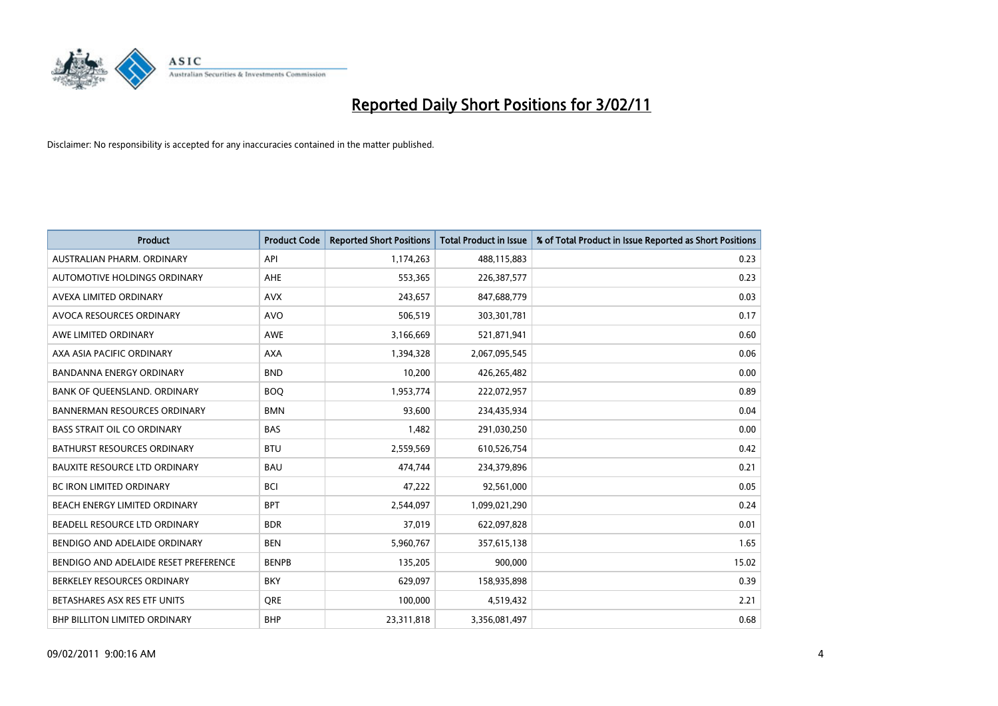

| <b>Product</b>                        | <b>Product Code</b> | <b>Reported Short Positions</b> | <b>Total Product in Issue</b> | % of Total Product in Issue Reported as Short Positions |
|---------------------------------------|---------------------|---------------------------------|-------------------------------|---------------------------------------------------------|
| AUSTRALIAN PHARM, ORDINARY            | API                 | 1,174,263                       | 488,115,883                   | 0.23                                                    |
| <b>AUTOMOTIVE HOLDINGS ORDINARY</b>   | <b>AHE</b>          | 553,365                         | 226,387,577                   | 0.23                                                    |
| AVEXA LIMITED ORDINARY                | <b>AVX</b>          | 243,657                         | 847,688,779                   | 0.03                                                    |
| AVOCA RESOURCES ORDINARY              | <b>AVO</b>          | 506,519                         | 303,301,781                   | 0.17                                                    |
| AWE LIMITED ORDINARY                  | <b>AWE</b>          | 3,166,669                       | 521,871,941                   | 0.60                                                    |
| AXA ASIA PACIFIC ORDINARY             | <b>AXA</b>          | 1,394,328                       | 2,067,095,545                 | 0.06                                                    |
| <b>BANDANNA ENERGY ORDINARY</b>       | <b>BND</b>          | 10,200                          | 426,265,482                   | 0.00                                                    |
| BANK OF QUEENSLAND. ORDINARY          | <b>BOQ</b>          | 1,953,774                       | 222,072,957                   | 0.89                                                    |
| <b>BANNERMAN RESOURCES ORDINARY</b>   | <b>BMN</b>          | 93,600                          | 234,435,934                   | 0.04                                                    |
| <b>BASS STRAIT OIL CO ORDINARY</b>    | <b>BAS</b>          | 1,482                           | 291,030,250                   | 0.00                                                    |
| BATHURST RESOURCES ORDINARY           | <b>BTU</b>          | 2,559,569                       | 610,526,754                   | 0.42                                                    |
| <b>BAUXITE RESOURCE LTD ORDINARY</b>  | <b>BAU</b>          | 474,744                         | 234,379,896                   | 0.21                                                    |
| <b>BC IRON LIMITED ORDINARY</b>       | <b>BCI</b>          | 47,222                          | 92,561,000                    | 0.05                                                    |
| <b>BEACH ENERGY LIMITED ORDINARY</b>  | <b>BPT</b>          | 2,544,097                       | 1,099,021,290                 | 0.24                                                    |
| BEADELL RESOURCE LTD ORDINARY         | <b>BDR</b>          | 37,019                          | 622,097,828                   | 0.01                                                    |
| BENDIGO AND ADELAIDE ORDINARY         | <b>BEN</b>          | 5,960,767                       | 357,615,138                   | 1.65                                                    |
| BENDIGO AND ADELAIDE RESET PREFERENCE | <b>BENPB</b>        | 135,205                         | 900,000                       | 15.02                                                   |
| BERKELEY RESOURCES ORDINARY           | <b>BKY</b>          | 629,097                         | 158,935,898                   | 0.39                                                    |
| BETASHARES ASX RES ETF UNITS          | <b>ORE</b>          | 100,000                         | 4,519,432                     | 2.21                                                    |
| <b>BHP BILLITON LIMITED ORDINARY</b>  | <b>BHP</b>          | 23,311,818                      | 3,356,081,497                 | 0.68                                                    |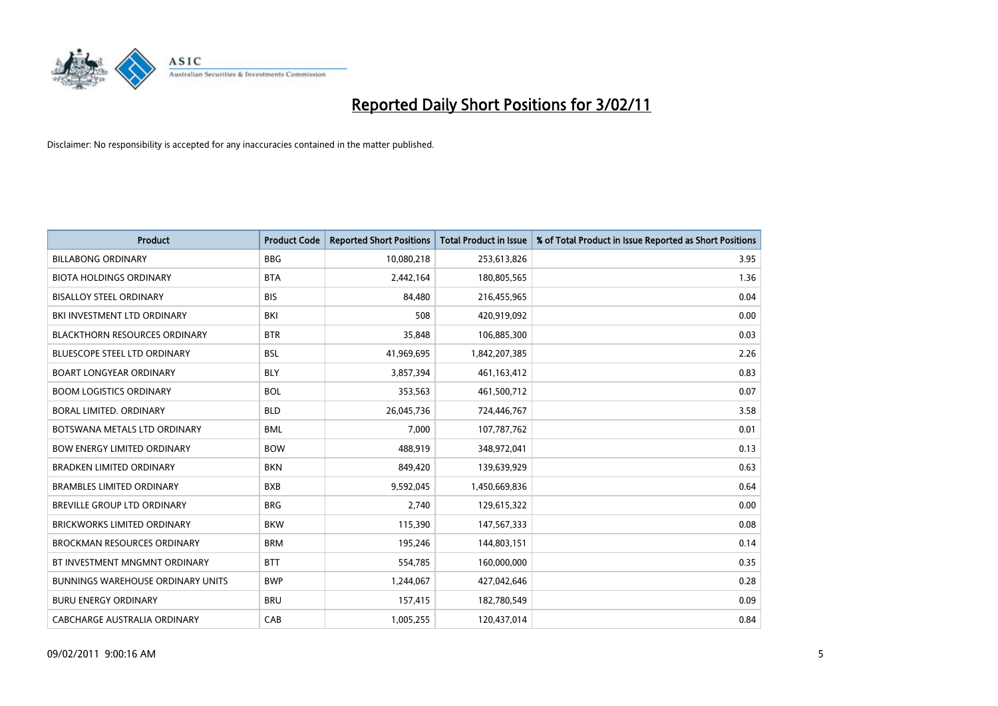

| Product                                  | <b>Product Code</b> | <b>Reported Short Positions</b> | Total Product in Issue | % of Total Product in Issue Reported as Short Positions |
|------------------------------------------|---------------------|---------------------------------|------------------------|---------------------------------------------------------|
| <b>BILLABONG ORDINARY</b>                | <b>BBG</b>          | 10,080,218                      | 253,613,826            | 3.95                                                    |
| <b>BIOTA HOLDINGS ORDINARY</b>           | <b>BTA</b>          | 2,442,164                       | 180,805,565            | 1.36                                                    |
| <b>BISALLOY STEEL ORDINARY</b>           | <b>BIS</b>          | 84,480                          | 216,455,965            | 0.04                                                    |
| BKI INVESTMENT LTD ORDINARY              | <b>BKI</b>          | 508                             | 420,919,092            | 0.00                                                    |
| <b>BLACKTHORN RESOURCES ORDINARY</b>     | <b>BTR</b>          | 35,848                          | 106,885,300            | 0.03                                                    |
| <b>BLUESCOPE STEEL LTD ORDINARY</b>      | <b>BSL</b>          | 41,969,695                      | 1,842,207,385          | 2.26                                                    |
| <b>BOART LONGYEAR ORDINARY</b>           | <b>BLY</b>          | 3,857,394                       | 461,163,412            | 0.83                                                    |
| <b>BOOM LOGISTICS ORDINARY</b>           | <b>BOL</b>          | 353,563                         | 461,500,712            | 0.07                                                    |
| BORAL LIMITED, ORDINARY                  | <b>BLD</b>          | 26,045,736                      | 724,446,767            | 3.58                                                    |
| BOTSWANA METALS LTD ORDINARY             | <b>BML</b>          | 7,000                           | 107,787,762            | 0.01                                                    |
| <b>BOW ENERGY LIMITED ORDINARY</b>       | <b>BOW</b>          | 488,919                         | 348,972,041            | 0.13                                                    |
| <b>BRADKEN LIMITED ORDINARY</b>          | <b>BKN</b>          | 849,420                         | 139,639,929            | 0.63                                                    |
| <b>BRAMBLES LIMITED ORDINARY</b>         | <b>BXB</b>          | 9,592,045                       | 1,450,669,836          | 0.64                                                    |
| BREVILLE GROUP LTD ORDINARY              | <b>BRG</b>          | 2,740                           | 129,615,322            | 0.00                                                    |
| <b>BRICKWORKS LIMITED ORDINARY</b>       | <b>BKW</b>          | 115,390                         | 147,567,333            | 0.08                                                    |
| <b>BROCKMAN RESOURCES ORDINARY</b>       | <b>BRM</b>          | 195,246                         | 144,803,151            | 0.14                                                    |
| BT INVESTMENT MNGMNT ORDINARY            | <b>BTT</b>          | 554,785                         | 160,000,000            | 0.35                                                    |
| <b>BUNNINGS WAREHOUSE ORDINARY UNITS</b> | <b>BWP</b>          | 1,244,067                       | 427,042,646            | 0.28                                                    |
| <b>BURU ENERGY ORDINARY</b>              | <b>BRU</b>          | 157,415                         | 182,780,549            | 0.09                                                    |
| CABCHARGE AUSTRALIA ORDINARY             | CAB                 | 1,005,255                       | 120,437,014            | 0.84                                                    |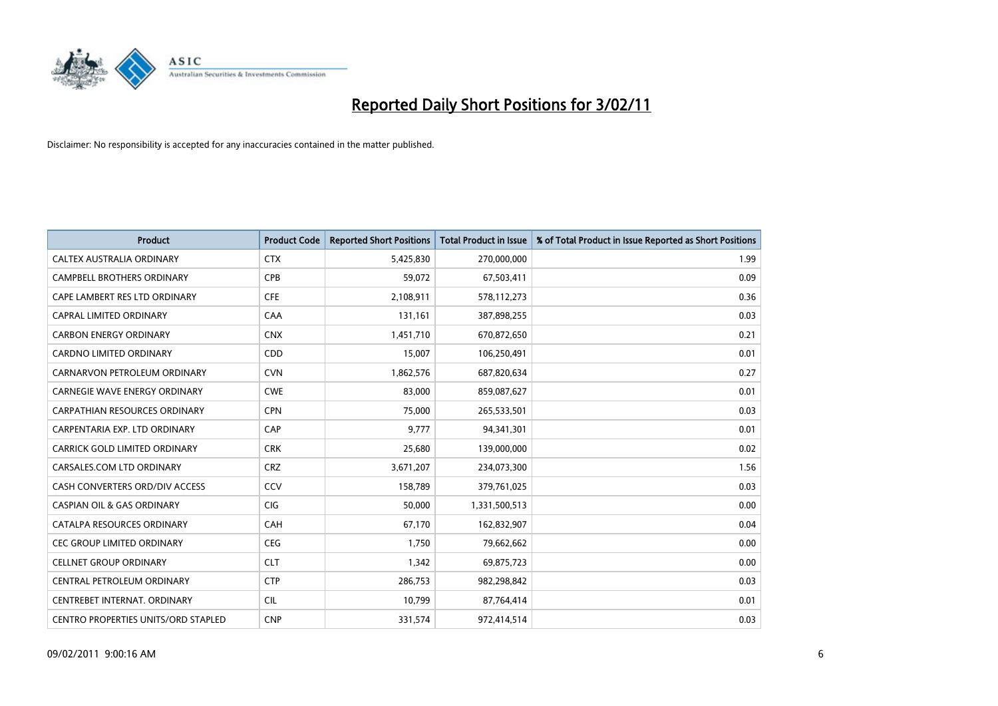

| <b>Product</b>                             | <b>Product Code</b> | <b>Reported Short Positions</b> | Total Product in Issue | % of Total Product in Issue Reported as Short Positions |
|--------------------------------------------|---------------------|---------------------------------|------------------------|---------------------------------------------------------|
| <b>CALTEX AUSTRALIA ORDINARY</b>           | <b>CTX</b>          | 5,425,830                       | 270,000,000            | 1.99                                                    |
| <b>CAMPBELL BROTHERS ORDINARY</b>          | <b>CPB</b>          | 59.072                          | 67,503,411             | 0.09                                                    |
| CAPE LAMBERT RES LTD ORDINARY              | <b>CFE</b>          | 2,108,911                       | 578,112,273            | 0.36                                                    |
| CAPRAL LIMITED ORDINARY                    | CAA                 | 131,161                         | 387,898,255            | 0.03                                                    |
| <b>CARBON ENERGY ORDINARY</b>              | <b>CNX</b>          | 1,451,710                       | 670,872,650            | 0.21                                                    |
| <b>CARDNO LIMITED ORDINARY</b>             | CDD                 | 15,007                          | 106,250,491            | 0.01                                                    |
| CARNARVON PETROLEUM ORDINARY               | <b>CVN</b>          | 1,862,576                       | 687,820,634            | 0.27                                                    |
| <b>CARNEGIE WAVE ENERGY ORDINARY</b>       | <b>CWE</b>          | 83,000                          | 859,087,627            | 0.01                                                    |
| CARPATHIAN RESOURCES ORDINARY              | <b>CPN</b>          | 75,000                          | 265,533,501            | 0.03                                                    |
| CARPENTARIA EXP. LTD ORDINARY              | <b>CAP</b>          | 9.777                           | 94,341,301             | 0.01                                                    |
| CARRICK GOLD LIMITED ORDINARY              | <b>CRK</b>          | 25,680                          | 139,000,000            | 0.02                                                    |
| CARSALES.COM LTD ORDINARY                  | <b>CRZ</b>          | 3,671,207                       | 234,073,300            | 1.56                                                    |
| CASH CONVERTERS ORD/DIV ACCESS             | CCV                 | 158.789                         | 379,761,025            | 0.03                                                    |
| <b>CASPIAN OIL &amp; GAS ORDINARY</b>      | <b>CIG</b>          | 50.000                          | 1,331,500,513          | 0.00                                                    |
| CATALPA RESOURCES ORDINARY                 | CAH                 | 67,170                          | 162,832,907            | 0.04                                                    |
| <b>CEC GROUP LIMITED ORDINARY</b>          | <b>CEG</b>          | 1,750                           | 79,662,662             | 0.00                                                    |
| <b>CELLNET GROUP ORDINARY</b>              | <b>CLT</b>          | 1,342                           | 69,875,723             | 0.00                                                    |
| CENTRAL PETROLEUM ORDINARY                 | <b>CTP</b>          | 286,753                         | 982,298,842            | 0.03                                                    |
| CENTREBET INTERNAT, ORDINARY               | <b>CIL</b>          | 10,799                          | 87,764,414             | 0.01                                                    |
| <b>CENTRO PROPERTIES UNITS/ORD STAPLED</b> | <b>CNP</b>          | 331,574                         | 972,414,514            | 0.03                                                    |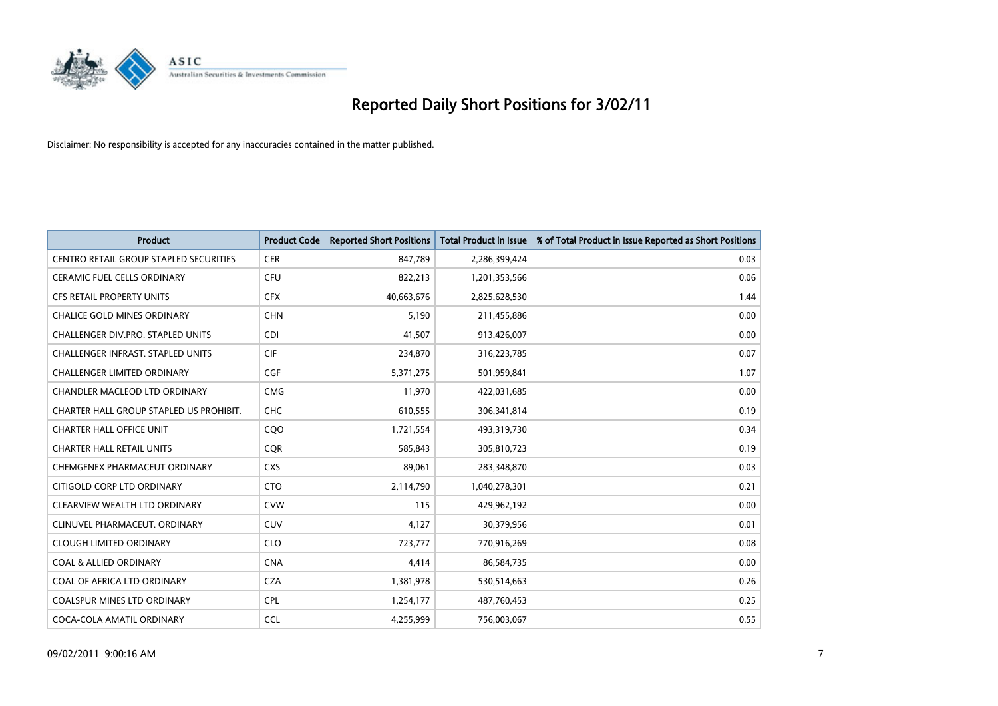

| <b>Product</b>                                | <b>Product Code</b> | <b>Reported Short Positions</b> | Total Product in Issue | % of Total Product in Issue Reported as Short Positions |
|-----------------------------------------------|---------------------|---------------------------------|------------------------|---------------------------------------------------------|
| <b>CENTRO RETAIL GROUP STAPLED SECURITIES</b> | <b>CER</b>          | 847,789                         | 2,286,399,424          | 0.03                                                    |
| CERAMIC FUEL CELLS ORDINARY                   | <b>CFU</b>          | 822,213                         | 1,201,353,566          | 0.06                                                    |
| <b>CFS RETAIL PROPERTY UNITS</b>              | <b>CFX</b>          | 40,663,676                      | 2,825,628,530          | 1.44                                                    |
| <b>CHALICE GOLD MINES ORDINARY</b>            | <b>CHN</b>          | 5,190                           | 211,455,886            | 0.00                                                    |
| CHALLENGER DIV.PRO. STAPLED UNITS             | <b>CDI</b>          | 41,507                          | 913,426,007            | 0.00                                                    |
| <b>CHALLENGER INFRAST, STAPLED UNITS</b>      | <b>CIF</b>          | 234,870                         | 316,223,785            | 0.07                                                    |
| <b>CHALLENGER LIMITED ORDINARY</b>            | <b>CGF</b>          | 5,371,275                       | 501,959,841            | 1.07                                                    |
| CHANDLER MACLEOD LTD ORDINARY                 | <b>CMG</b>          | 11,970                          | 422,031,685            | 0.00                                                    |
| CHARTER HALL GROUP STAPLED US PROHIBIT.       | <b>CHC</b>          | 610,555                         | 306,341,814            | 0.19                                                    |
| <b>CHARTER HALL OFFICE UNIT</b>               | CQ <sub>O</sub>     | 1,721,554                       | 493,319,730            | 0.34                                                    |
| <b>CHARTER HALL RETAIL UNITS</b>              | <b>COR</b>          | 585,843                         | 305,810,723            | 0.19                                                    |
| CHEMGENEX PHARMACEUT ORDINARY                 | <b>CXS</b>          | 89,061                          | 283,348,870            | 0.03                                                    |
| CITIGOLD CORP LTD ORDINARY                    | <b>CTO</b>          | 2,114,790                       | 1,040,278,301          | 0.21                                                    |
| CLEARVIEW WEALTH LTD ORDINARY                 | <b>CVW</b>          | 115                             | 429,962,192            | 0.00                                                    |
| CLINUVEL PHARMACEUT, ORDINARY                 | <b>CUV</b>          | 4,127                           | 30,379,956             | 0.01                                                    |
| <b>CLOUGH LIMITED ORDINARY</b>                | <b>CLO</b>          | 723,777                         | 770,916,269            | 0.08                                                    |
| <b>COAL &amp; ALLIED ORDINARY</b>             | <b>CNA</b>          | 4,414                           | 86,584,735             | 0.00                                                    |
| COAL OF AFRICA LTD ORDINARY                   | <b>CZA</b>          | 1,381,978                       | 530,514,663            | 0.26                                                    |
| <b>COALSPUR MINES LTD ORDINARY</b>            | <b>CPL</b>          | 1,254,177                       | 487,760,453            | 0.25                                                    |
| COCA-COLA AMATIL ORDINARY                     | <b>CCL</b>          | 4,255,999                       | 756,003,067            | 0.55                                                    |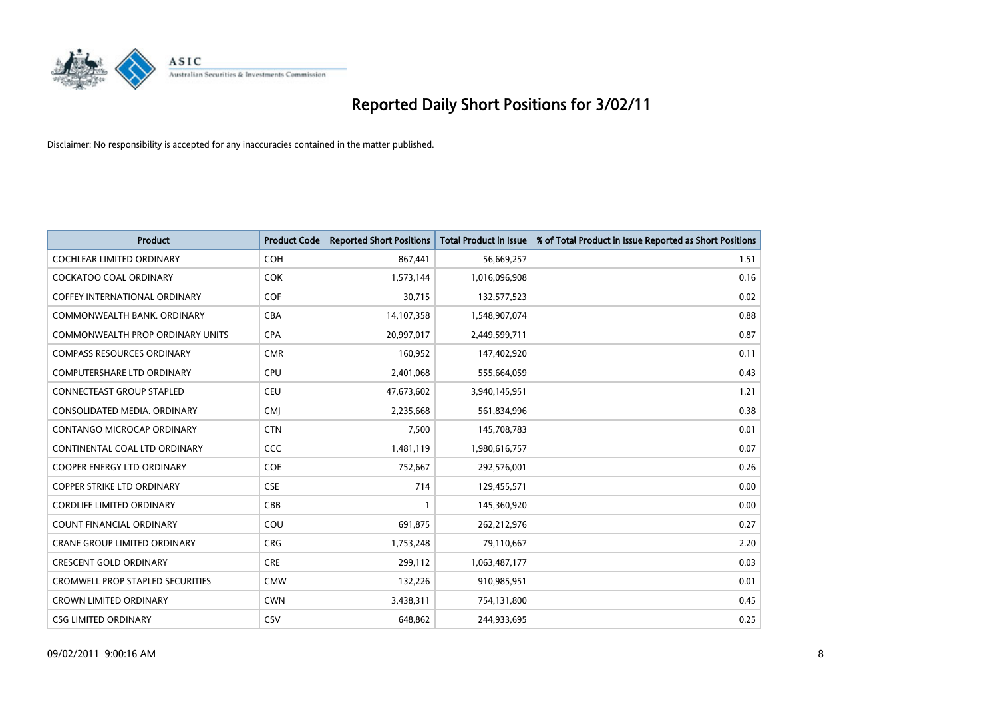

| <b>Product</b>                          | <b>Product Code</b> | <b>Reported Short Positions</b> | Total Product in Issue | % of Total Product in Issue Reported as Short Positions |
|-----------------------------------------|---------------------|---------------------------------|------------------------|---------------------------------------------------------|
| <b>COCHLEAR LIMITED ORDINARY</b>        | <b>COH</b>          | 867,441                         | 56,669,257             | 1.51                                                    |
| <b>COCKATOO COAL ORDINARY</b>           | <b>COK</b>          | 1,573,144                       | 1,016,096,908          | 0.16                                                    |
| <b>COFFEY INTERNATIONAL ORDINARY</b>    | <b>COF</b>          | 30,715                          | 132,577,523            | 0.02                                                    |
| COMMONWEALTH BANK, ORDINARY             | <b>CBA</b>          | 14,107,358                      | 1,548,907,074          | 0.88                                                    |
| <b>COMMONWEALTH PROP ORDINARY UNITS</b> | <b>CPA</b>          | 20,997,017                      | 2,449,599,711          | 0.87                                                    |
| <b>COMPASS RESOURCES ORDINARY</b>       | <b>CMR</b>          | 160,952                         | 147,402,920            | 0.11                                                    |
| <b>COMPUTERSHARE LTD ORDINARY</b>       | <b>CPU</b>          | 2,401,068                       | 555,664,059            | 0.43                                                    |
| <b>CONNECTEAST GROUP STAPLED</b>        | <b>CEU</b>          | 47,673,602                      | 3,940,145,951          | 1.21                                                    |
| CONSOLIDATED MEDIA, ORDINARY            | <b>CMI</b>          | 2,235,668                       | 561,834,996            | 0.38                                                    |
| CONTANGO MICROCAP ORDINARY              | <b>CTN</b>          | 7.500                           | 145,708,783            | 0.01                                                    |
| CONTINENTAL COAL LTD ORDINARY           | <b>CCC</b>          | 1,481,119                       | 1,980,616,757          | 0.07                                                    |
| <b>COOPER ENERGY LTD ORDINARY</b>       | <b>COE</b>          | 752,667                         | 292,576,001            | 0.26                                                    |
| <b>COPPER STRIKE LTD ORDINARY</b>       | <b>CSE</b>          | 714                             | 129,455,571            | 0.00                                                    |
| <b>CORDLIFE LIMITED ORDINARY</b>        | CBB                 |                                 | 145,360,920            | 0.00                                                    |
| <b>COUNT FINANCIAL ORDINARY</b>         | COU                 | 691,875                         | 262,212,976            | 0.27                                                    |
| <b>CRANE GROUP LIMITED ORDINARY</b>     | <b>CRG</b>          | 1,753,248                       | 79,110,667             | 2.20                                                    |
| <b>CRESCENT GOLD ORDINARY</b>           | <b>CRE</b>          | 299,112                         | 1,063,487,177          | 0.03                                                    |
| <b>CROMWELL PROP STAPLED SECURITIES</b> | <b>CMW</b>          | 132,226                         | 910,985,951            | 0.01                                                    |
| <b>CROWN LIMITED ORDINARY</b>           | <b>CWN</b>          | 3,438,311                       | 754,131,800            | 0.45                                                    |
| <b>CSG LIMITED ORDINARY</b>             | CSV                 | 648.862                         | 244.933.695            | 0.25                                                    |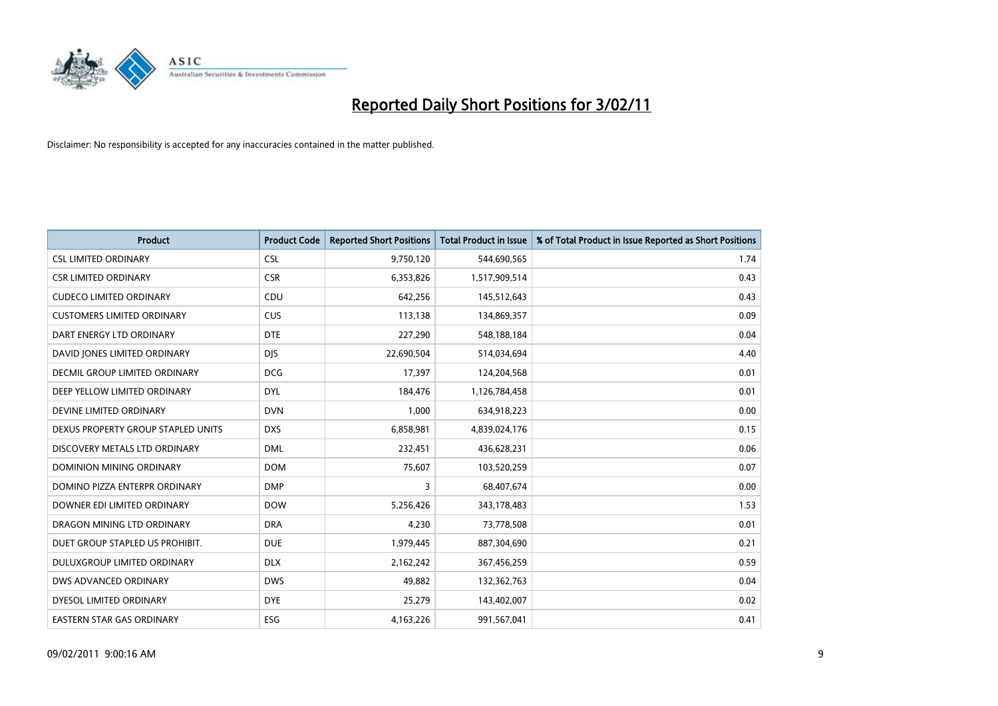

| <b>Product</b>                     | <b>Product Code</b> | <b>Reported Short Positions</b> | <b>Total Product in Issue</b> | % of Total Product in Issue Reported as Short Positions |
|------------------------------------|---------------------|---------------------------------|-------------------------------|---------------------------------------------------------|
| <b>CSL LIMITED ORDINARY</b>        | <b>CSL</b>          | 9,750,120                       | 544,690,565                   | 1.74                                                    |
| <b>CSR LIMITED ORDINARY</b>        | <b>CSR</b>          | 6,353,826                       | 1,517,909,514                 | 0.43                                                    |
| <b>CUDECO LIMITED ORDINARY</b>     | CDU                 | 642,256                         | 145,512,643                   | 0.43                                                    |
| <b>CUSTOMERS LIMITED ORDINARY</b>  | <b>CUS</b>          | 113,138                         | 134,869,357                   | 0.09                                                    |
| DART ENERGY LTD ORDINARY           | <b>DTE</b>          | 227,290                         | 548,188,184                   | 0.04                                                    |
| DAVID JONES LIMITED ORDINARY       | <b>DJS</b>          | 22,690,504                      | 514,034,694                   | 4.40                                                    |
| DECMIL GROUP LIMITED ORDINARY      | <b>DCG</b>          | 17.397                          | 124,204,568                   | 0.01                                                    |
| DEEP YELLOW LIMITED ORDINARY       | <b>DYL</b>          | 184,476                         | 1,126,784,458                 | 0.01                                                    |
| DEVINE LIMITED ORDINARY            | <b>DVN</b>          | 1,000                           | 634,918,223                   | 0.00                                                    |
| DEXUS PROPERTY GROUP STAPLED UNITS | <b>DXS</b>          | 6,858,981                       | 4,839,024,176                 | 0.15                                                    |
| DISCOVERY METALS LTD ORDINARY      | <b>DML</b>          | 232,451                         | 436,628,231                   | 0.06                                                    |
| <b>DOMINION MINING ORDINARY</b>    | <b>DOM</b>          | 75,607                          | 103,520,259                   | 0.07                                                    |
| DOMINO PIZZA ENTERPR ORDINARY      | <b>DMP</b>          | 3                               | 68,407,674                    | 0.00                                                    |
| DOWNER EDI LIMITED ORDINARY        | <b>DOW</b>          | 5,256,426                       | 343,178,483                   | 1.53                                                    |
| DRAGON MINING LTD ORDINARY         | <b>DRA</b>          | 4,230                           | 73,778,508                    | 0.01                                                    |
| DUET GROUP STAPLED US PROHIBIT.    | <b>DUE</b>          | 1,979,445                       | 887,304,690                   | 0.21                                                    |
| DULUXGROUP LIMITED ORDINARY        | <b>DLX</b>          | 2,162,242                       | 367,456,259                   | 0.59                                                    |
| DWS ADVANCED ORDINARY              | <b>DWS</b>          | 49,882                          | 132,362,763                   | 0.04                                                    |
| DYESOL LIMITED ORDINARY            | <b>DYE</b>          | 25,279                          | 143,402,007                   | 0.02                                                    |
| EASTERN STAR GAS ORDINARY          | ESG                 | 4,163,226                       | 991,567,041                   | 0.41                                                    |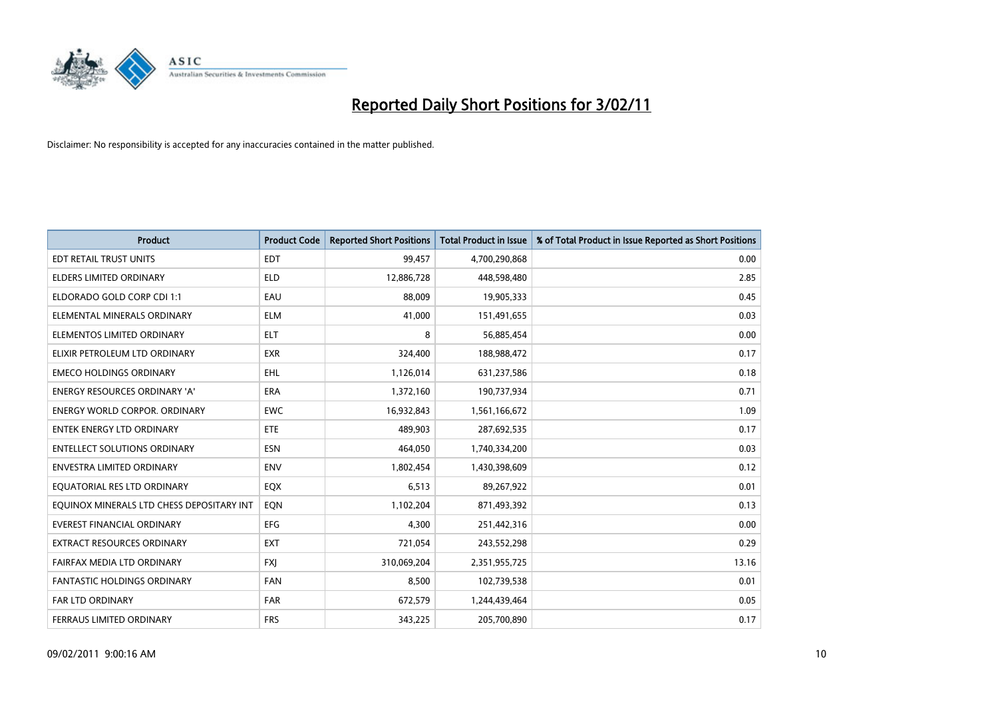

| <b>Product</b>                            | <b>Product Code</b> | <b>Reported Short Positions</b> | Total Product in Issue | % of Total Product in Issue Reported as Short Positions |
|-------------------------------------------|---------------------|---------------------------------|------------------------|---------------------------------------------------------|
| EDT RETAIL TRUST UNITS                    | <b>EDT</b>          | 99,457                          | 4,700,290,868          | 0.00                                                    |
| ELDERS LIMITED ORDINARY                   | <b>ELD</b>          | 12,886,728                      | 448,598,480            | 2.85                                                    |
| ELDORADO GOLD CORP CDI 1:1                | EAU                 | 88.009                          | 19,905,333             | 0.45                                                    |
| ELEMENTAL MINERALS ORDINARY               | <b>ELM</b>          | 41,000                          | 151,491,655            | 0.03                                                    |
| ELEMENTOS LIMITED ORDINARY                | <b>ELT</b>          | 8                               | 56,885,454             | 0.00                                                    |
| ELIXIR PETROLEUM LTD ORDINARY             | <b>EXR</b>          | 324,400                         | 188,988,472            | 0.17                                                    |
| <b>EMECO HOLDINGS ORDINARY</b>            | <b>EHL</b>          | 1,126,014                       | 631,237,586            | 0.18                                                    |
| ENERGY RESOURCES ORDINARY 'A'             | <b>ERA</b>          | 1,372,160                       | 190,737,934            | 0.71                                                    |
| <b>ENERGY WORLD CORPOR. ORDINARY</b>      | <b>EWC</b>          | 16,932,843                      | 1,561,166,672          | 1.09                                                    |
| <b>ENTEK ENERGY LTD ORDINARY</b>          | <b>ETE</b>          | 489.903                         | 287,692,535            | 0.17                                                    |
| <b>ENTELLECT SOLUTIONS ORDINARY</b>       | <b>ESN</b>          | 464,050                         | 1,740,334,200          | 0.03                                                    |
| ENVESTRA LIMITED ORDINARY                 | <b>ENV</b>          | 1,802,454                       | 1,430,398,609          | 0.12                                                    |
| EQUATORIAL RES LTD ORDINARY               | <b>EQX</b>          | 6,513                           | 89,267,922             | 0.01                                                    |
| EQUINOX MINERALS LTD CHESS DEPOSITARY INT | <b>EON</b>          | 1,102,204                       | 871,493,392            | 0.13                                                    |
| <b>EVEREST FINANCIAL ORDINARY</b>         | <b>EFG</b>          | 4,300                           | 251,442,316            | 0.00                                                    |
| <b>EXTRACT RESOURCES ORDINARY</b>         | <b>EXT</b>          | 721,054                         | 243,552,298            | 0.29                                                    |
| FAIRFAX MEDIA LTD ORDINARY                | <b>FXJ</b>          | 310,069,204                     | 2,351,955,725          | 13.16                                                   |
| <b>FANTASTIC HOLDINGS ORDINARY</b>        | <b>FAN</b>          | 8,500                           | 102,739,538            | 0.01                                                    |
| FAR LTD ORDINARY                          | <b>FAR</b>          | 672,579                         | 1,244,439,464          | 0.05                                                    |
| FERRAUS LIMITED ORDINARY                  | <b>FRS</b>          | 343,225                         | 205,700,890            | 0.17                                                    |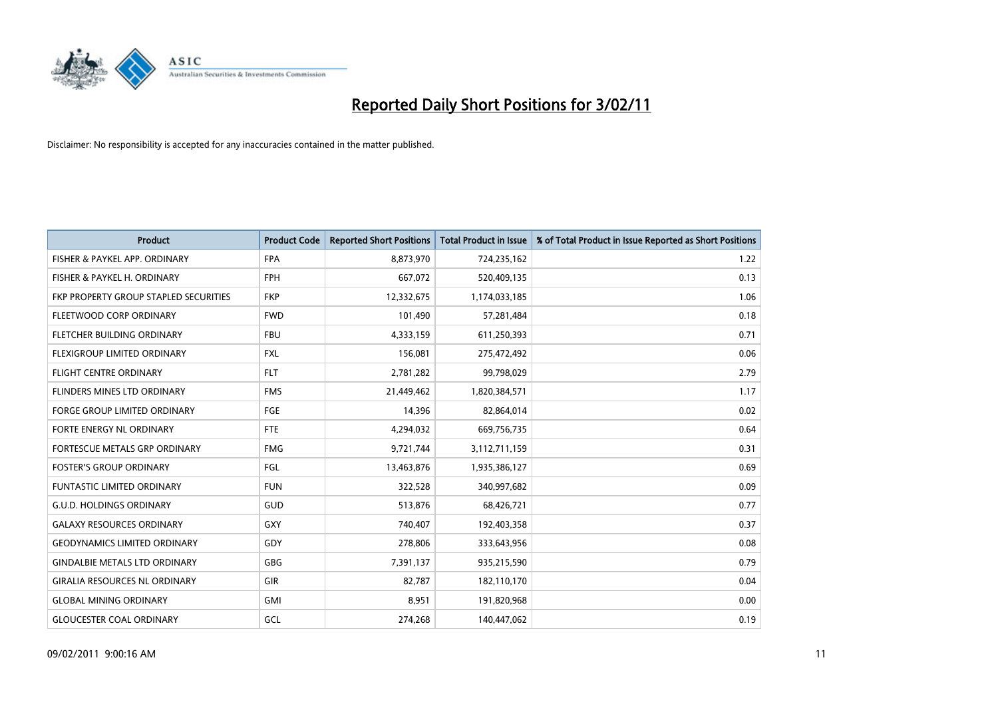

| <b>Product</b>                        | <b>Product Code</b> | <b>Reported Short Positions</b> | Total Product in Issue | % of Total Product in Issue Reported as Short Positions |
|---------------------------------------|---------------------|---------------------------------|------------------------|---------------------------------------------------------|
| FISHER & PAYKEL APP. ORDINARY         | <b>FPA</b>          | 8,873,970                       | 724,235,162            | 1.22                                                    |
| FISHER & PAYKEL H. ORDINARY           | <b>FPH</b>          | 667,072                         | 520,409,135            | 0.13                                                    |
| FKP PROPERTY GROUP STAPLED SECURITIES | <b>FKP</b>          | 12,332,675                      | 1,174,033,185          | 1.06                                                    |
| FLEETWOOD CORP ORDINARY               | <b>FWD</b>          | 101,490                         | 57,281,484             | 0.18                                                    |
| FLETCHER BUILDING ORDINARY            | <b>FBU</b>          | 4,333,159                       | 611,250,393            | 0.71                                                    |
| FLEXIGROUP LIMITED ORDINARY           | <b>FXL</b>          | 156,081                         | 275,472,492            | 0.06                                                    |
| <b>FLIGHT CENTRE ORDINARY</b>         | <b>FLT</b>          | 2,781,282                       | 99,798,029             | 2.79                                                    |
| FLINDERS MINES LTD ORDINARY           | <b>FMS</b>          | 21,449,462                      | 1,820,384,571          | 1.17                                                    |
| <b>FORGE GROUP LIMITED ORDINARY</b>   | FGE                 | 14,396                          | 82,864,014             | 0.02                                                    |
| FORTE ENERGY NL ORDINARY              | FTE                 | 4,294,032                       | 669,756,735            | 0.64                                                    |
| FORTESCUE METALS GRP ORDINARY         | <b>FMG</b>          | 9,721,744                       | 3,112,711,159          | 0.31                                                    |
| <b>FOSTER'S GROUP ORDINARY</b>        | FGL                 | 13,463,876                      | 1,935,386,127          | 0.69                                                    |
| <b>FUNTASTIC LIMITED ORDINARY</b>     | <b>FUN</b>          | 322,528                         | 340,997,682            | 0.09                                                    |
| <b>G.U.D. HOLDINGS ORDINARY</b>       | GUD                 | 513,876                         | 68,426,721             | 0.77                                                    |
| <b>GALAXY RESOURCES ORDINARY</b>      | GXY                 | 740,407                         | 192,403,358            | 0.37                                                    |
| <b>GEODYNAMICS LIMITED ORDINARY</b>   | GDY                 | 278,806                         | 333,643,956            | 0.08                                                    |
| <b>GINDALBIE METALS LTD ORDINARY</b>  | <b>GBG</b>          | 7,391,137                       | 935,215,590            | 0.79                                                    |
| <b>GIRALIA RESOURCES NL ORDINARY</b>  | GIR                 | 82,787                          | 182,110,170            | 0.04                                                    |
| <b>GLOBAL MINING ORDINARY</b>         | <b>GMI</b>          | 8,951                           | 191,820,968            | 0.00                                                    |
| <b>GLOUCESTER COAL ORDINARY</b>       | GCL                 | 274.268                         | 140.447.062            | 0.19                                                    |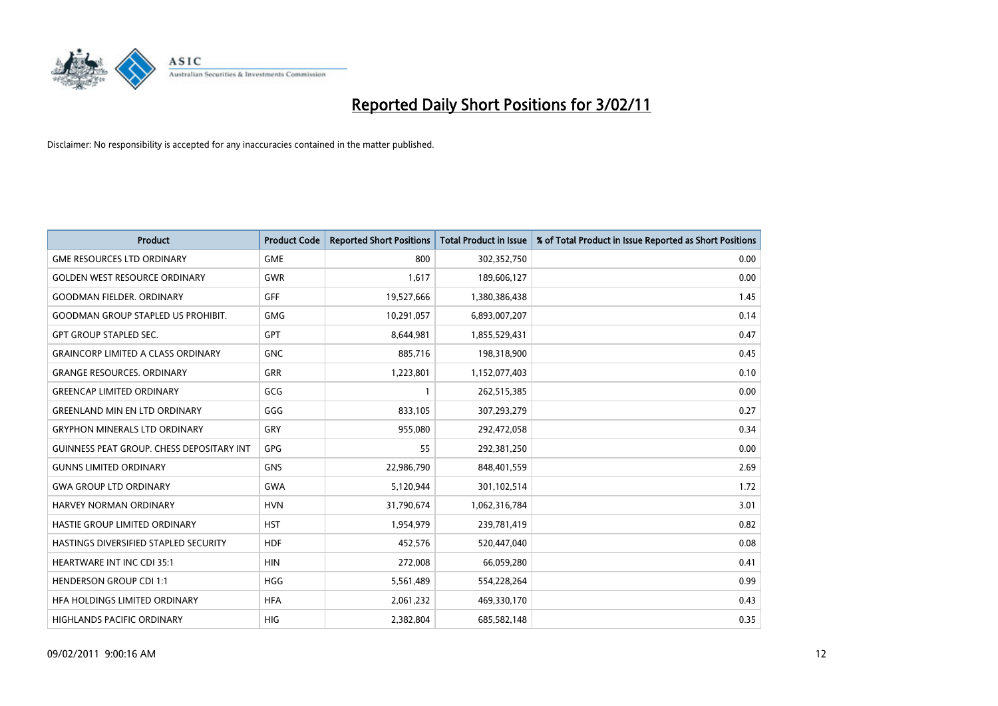

| <b>Product</b>                                   | <b>Product Code</b> | <b>Reported Short Positions</b> | Total Product in Issue | % of Total Product in Issue Reported as Short Positions |
|--------------------------------------------------|---------------------|---------------------------------|------------------------|---------------------------------------------------------|
| <b>GME RESOURCES LTD ORDINARY</b>                | <b>GME</b>          | 800                             | 302,352,750            | 0.00                                                    |
| <b>GOLDEN WEST RESOURCE ORDINARY</b>             | <b>GWR</b>          | 1,617                           | 189,606,127            | 0.00                                                    |
| <b>GOODMAN FIELDER, ORDINARY</b>                 | GFF                 | 19,527,666                      | 1,380,386,438          | 1.45                                                    |
| <b>GOODMAN GROUP STAPLED US PROHIBIT.</b>        | <b>GMG</b>          | 10,291,057                      | 6,893,007,207          | 0.14                                                    |
| <b>GPT GROUP STAPLED SEC.</b>                    | <b>GPT</b>          | 8,644,981                       | 1,855,529,431          | 0.47                                                    |
| <b>GRAINCORP LIMITED A CLASS ORDINARY</b>        | <b>GNC</b>          | 885,716                         | 198,318,900            | 0.45                                                    |
| <b>GRANGE RESOURCES, ORDINARY</b>                | <b>GRR</b>          | 1,223,801                       | 1,152,077,403          | 0.10                                                    |
| <b>GREENCAP LIMITED ORDINARY</b>                 | GCG                 |                                 | 262,515,385            | 0.00                                                    |
| <b>GREENLAND MIN EN LTD ORDINARY</b>             | GGG                 | 833,105                         | 307,293,279            | 0.27                                                    |
| <b>GRYPHON MINERALS LTD ORDINARY</b>             | GRY                 | 955,080                         | 292,472,058            | 0.34                                                    |
| <b>GUINNESS PEAT GROUP. CHESS DEPOSITARY INT</b> | <b>GPG</b>          | 55                              | 292,381,250            | 0.00                                                    |
| <b>GUNNS LIMITED ORDINARY</b>                    | <b>GNS</b>          | 22,986,790                      | 848,401,559            | 2.69                                                    |
| <b>GWA GROUP LTD ORDINARY</b>                    | <b>GWA</b>          | 5,120,944                       | 301,102,514            | 1.72                                                    |
| HARVEY NORMAN ORDINARY                           | <b>HVN</b>          | 31,790,674                      | 1,062,316,784          | 3.01                                                    |
| <b>HASTIE GROUP LIMITED ORDINARY</b>             | <b>HST</b>          | 1,954,979                       | 239,781,419            | 0.82                                                    |
| HASTINGS DIVERSIFIED STAPLED SECURITY            | <b>HDF</b>          | 452.576                         | 520,447,040            | 0.08                                                    |
| <b>HEARTWARE INT INC CDI 35:1</b>                | <b>HIN</b>          | 272,008                         | 66,059,280             | 0.41                                                    |
| <b>HENDERSON GROUP CDI 1:1</b>                   | <b>HGG</b>          | 5,561,489                       | 554,228,264            | 0.99                                                    |
| HFA HOLDINGS LIMITED ORDINARY                    | <b>HFA</b>          | 2,061,232                       | 469,330,170            | 0.43                                                    |
| HIGHLANDS PACIFIC ORDINARY                       | <b>HIG</b>          | 2,382,804                       | 685,582,148            | 0.35                                                    |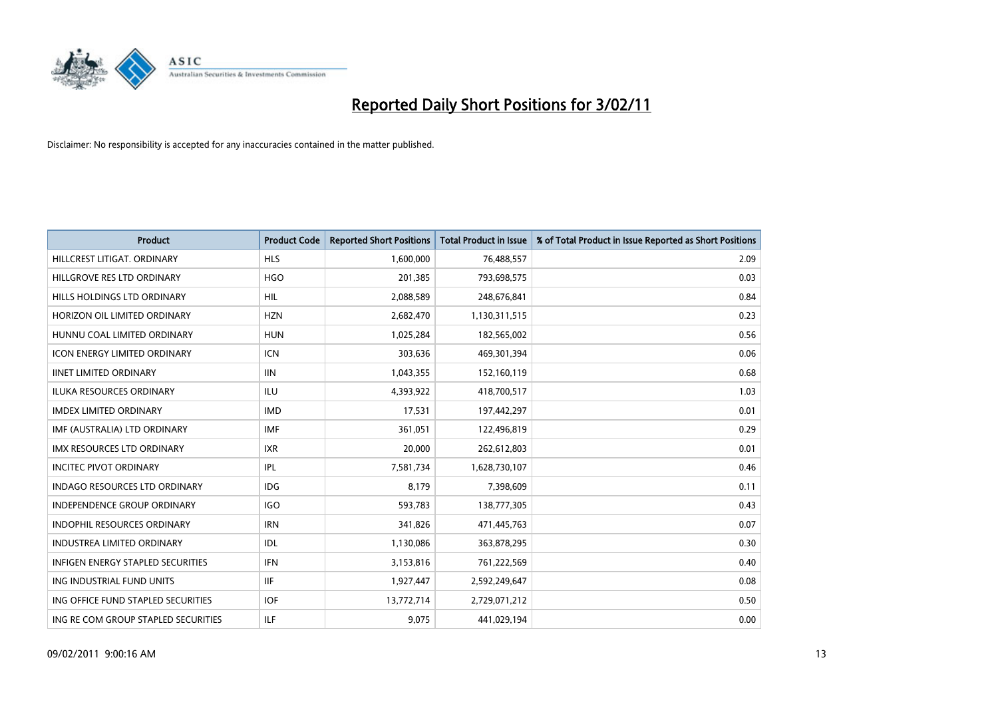

| Product                                  | <b>Product Code</b> | <b>Reported Short Positions</b> | Total Product in Issue | % of Total Product in Issue Reported as Short Positions |
|------------------------------------------|---------------------|---------------------------------|------------------------|---------------------------------------------------------|
| HILLCREST LITIGAT, ORDINARY              | <b>HLS</b>          | 1,600,000                       | 76,488,557             | 2.09                                                    |
| HILLGROVE RES LTD ORDINARY               | <b>HGO</b>          | 201,385                         | 793,698,575            | 0.03                                                    |
| HILLS HOLDINGS LTD ORDINARY              | <b>HIL</b>          | 2,088,589                       | 248,676,841            | 0.84                                                    |
| HORIZON OIL LIMITED ORDINARY             | <b>HZN</b>          | 2,682,470                       | 1,130,311,515          | 0.23                                                    |
| HUNNU COAL LIMITED ORDINARY              | <b>HUN</b>          | 1,025,284                       | 182,565,002            | 0.56                                                    |
| <b>ICON ENERGY LIMITED ORDINARY</b>      | <b>ICN</b>          | 303,636                         | 469,301,394            | 0.06                                                    |
| <b>IINET LIMITED ORDINARY</b>            | <b>IIN</b>          | 1,043,355                       | 152,160,119            | 0.68                                                    |
| <b>ILUKA RESOURCES ORDINARY</b>          | ILU                 | 4,393,922                       | 418,700,517            | 1.03                                                    |
| <b>IMDEX LIMITED ORDINARY</b>            | <b>IMD</b>          | 17,531                          | 197,442,297            | 0.01                                                    |
| IMF (AUSTRALIA) LTD ORDINARY             | <b>IMF</b>          | 361,051                         | 122,496,819            | 0.29                                                    |
| <b>IMX RESOURCES LTD ORDINARY</b>        | <b>IXR</b>          | 20,000                          | 262,612,803            | 0.01                                                    |
| <b>INCITEC PIVOT ORDINARY</b>            | IPL                 | 7,581,734                       | 1,628,730,107          | 0.46                                                    |
| <b>INDAGO RESOURCES LTD ORDINARY</b>     | IDG                 | 8,179                           | 7,398,609              | 0.11                                                    |
| <b>INDEPENDENCE GROUP ORDINARY</b>       | <b>IGO</b>          | 593,783                         | 138,777,305            | 0.43                                                    |
| <b>INDOPHIL RESOURCES ORDINARY</b>       | <b>IRN</b>          | 341,826                         | 471,445,763            | 0.07                                                    |
| <b>INDUSTREA LIMITED ORDINARY</b>        | IDL                 | 1,130,086                       | 363,878,295            | 0.30                                                    |
| <b>INFIGEN ENERGY STAPLED SECURITIES</b> | <b>IFN</b>          | 3,153,816                       | 761,222,569            | 0.40                                                    |
| ING INDUSTRIAL FUND UNITS                | <b>IIF</b>          | 1,927,447                       | 2,592,249,647          | 0.08                                                    |
| ING OFFICE FUND STAPLED SECURITIES       | <b>IOF</b>          | 13,772,714                      | 2,729,071,212          | 0.50                                                    |
| ING RE COM GROUP STAPLED SECURITIES      | <b>ILF</b>          | 9,075                           | 441,029,194            | 0.00                                                    |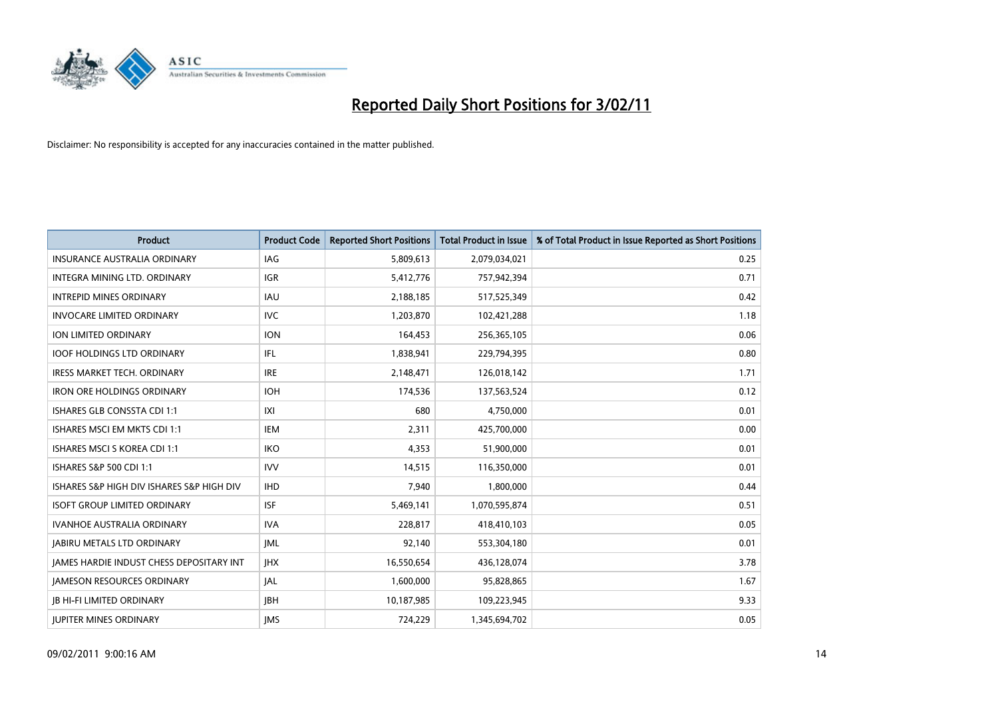

| <b>Product</b>                                  | <b>Product Code</b> | <b>Reported Short Positions</b> | <b>Total Product in Issue</b> | % of Total Product in Issue Reported as Short Positions |
|-------------------------------------------------|---------------------|---------------------------------|-------------------------------|---------------------------------------------------------|
| <b>INSURANCE AUSTRALIA ORDINARY</b>             | IAG                 | 5,809,613                       | 2,079,034,021                 | 0.25                                                    |
| INTEGRA MINING LTD. ORDINARY                    | IGR                 | 5,412,776                       | 757,942,394                   | 0.71                                                    |
| <b>INTREPID MINES ORDINARY</b>                  | <b>IAU</b>          | 2,188,185                       | 517,525,349                   | 0.42                                                    |
| <b>INVOCARE LIMITED ORDINARY</b>                | <b>IVC</b>          | 1,203,870                       | 102,421,288                   | 1.18                                                    |
| ION LIMITED ORDINARY                            | <b>ION</b>          | 164,453                         | 256,365,105                   | 0.06                                                    |
| <b>IOOF HOLDINGS LTD ORDINARY</b>               | IFL                 | 1,838,941                       | 229,794,395                   | 0.80                                                    |
| <b>IRESS MARKET TECH. ORDINARY</b>              | <b>IRE</b>          | 2,148,471                       | 126,018,142                   | 1.71                                                    |
| <b>IRON ORE HOLDINGS ORDINARY</b>               | <b>IOH</b>          | 174,536                         | 137,563,524                   | 0.12                                                    |
| ISHARES GLB CONSSTA CDI 1:1                     | IXI                 | 680                             | 4,750,000                     | 0.01                                                    |
| ISHARES MSCI EM MKTS CDI 1:1                    | <b>IEM</b>          | 2,311                           | 425,700,000                   | 0.00                                                    |
| <b>ISHARES MSCI S KOREA CDI 1:1</b>             | <b>IKO</b>          | 4,353                           | 51,900,000                    | 0.01                                                    |
| ISHARES S&P 500 CDI 1:1                         | <b>IVV</b>          | 14,515                          | 116,350,000                   | 0.01                                                    |
| ISHARES S&P HIGH DIV ISHARES S&P HIGH DIV       | <b>IHD</b>          | 7,940                           | 1,800,000                     | 0.44                                                    |
| <b>ISOFT GROUP LIMITED ORDINARY</b>             | <b>ISF</b>          | 5,469,141                       | 1,070,595,874                 | 0.51                                                    |
| <b>IVANHOE AUSTRALIA ORDINARY</b>               | <b>IVA</b>          | 228,817                         | 418,410,103                   | 0.05                                                    |
| <b>JABIRU METALS LTD ORDINARY</b>               | <b>JML</b>          | 92,140                          | 553,304,180                   | 0.01                                                    |
| <b>JAMES HARDIE INDUST CHESS DEPOSITARY INT</b> | <b>IHX</b>          | 16,550,654                      | 436,128,074                   | 3.78                                                    |
| JAMESON RESOURCES ORDINARY                      | <b>JAL</b>          | 1,600,000                       | 95,828,865                    | 1.67                                                    |
| <b>IB HI-FI LIMITED ORDINARY</b>                | <b>IBH</b>          | 10,187,985                      | 109,223,945                   | 9.33                                                    |
| <b>IUPITER MINES ORDINARY</b>                   | <b>IMS</b>          | 724.229                         | 1,345,694,702                 | 0.05                                                    |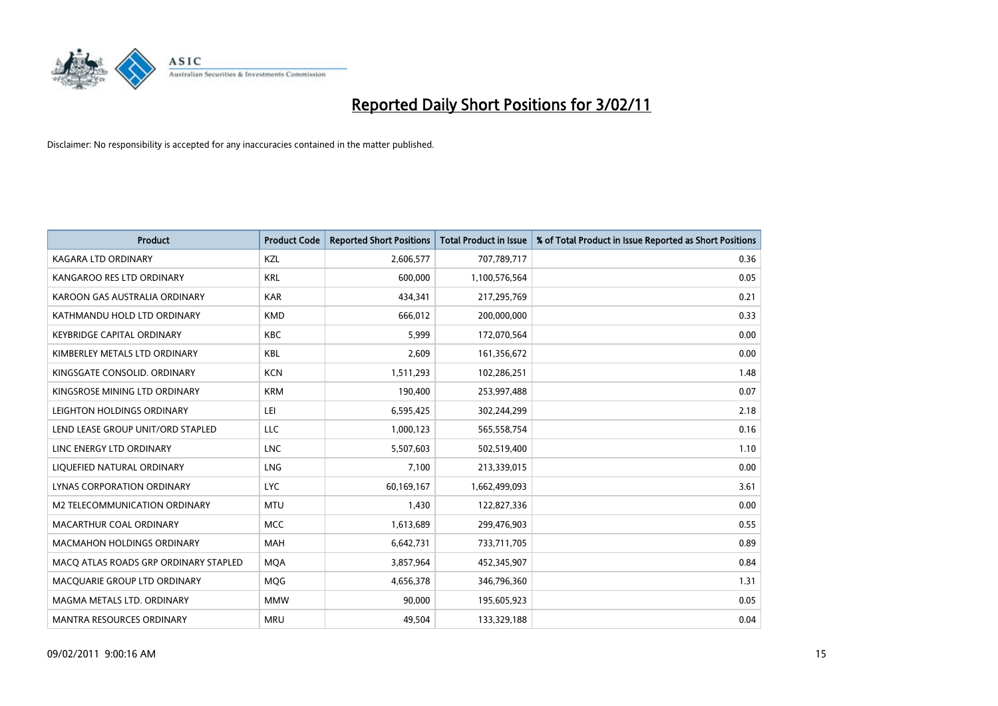

| <b>Product</b>                        | <b>Product Code</b> | <b>Reported Short Positions</b> | <b>Total Product in Issue</b> | % of Total Product in Issue Reported as Short Positions |
|---------------------------------------|---------------------|---------------------------------|-------------------------------|---------------------------------------------------------|
| <b>KAGARA LTD ORDINARY</b>            | KZL                 | 2,606,577                       | 707,789,717                   | 0.36                                                    |
| KANGAROO RES LTD ORDINARY             | <b>KRL</b>          | 600,000                         | 1,100,576,564                 | 0.05                                                    |
| KAROON GAS AUSTRALIA ORDINARY         | <b>KAR</b>          | 434,341                         | 217,295,769                   | 0.21                                                    |
| KATHMANDU HOLD LTD ORDINARY           | <b>KMD</b>          | 666,012                         | 200,000,000                   | 0.33                                                    |
| <b>KEYBRIDGE CAPITAL ORDINARY</b>     | <b>KBC</b>          | 5,999                           | 172,070,564                   | 0.00                                                    |
| KIMBERLEY METALS LTD ORDINARY         | <b>KBL</b>          | 2,609                           | 161,356,672                   | 0.00                                                    |
| KINGSGATE CONSOLID. ORDINARY          | <b>KCN</b>          | 1,511,293                       | 102,286,251                   | 1.48                                                    |
| KINGSROSE MINING LTD ORDINARY         | <b>KRM</b>          | 190,400                         | 253,997,488                   | 0.07                                                    |
| LEIGHTON HOLDINGS ORDINARY            | LEI                 | 6,595,425                       | 302,244,299                   | 2.18                                                    |
| LEND LEASE GROUP UNIT/ORD STAPLED     | <b>LLC</b>          | 1,000,123                       | 565,558,754                   | 0.16                                                    |
| LINC ENERGY LTD ORDINARY              | <b>LNC</b>          | 5,507,603                       | 502,519,400                   | 1.10                                                    |
| LIQUEFIED NATURAL ORDINARY            | <b>LNG</b>          | 7,100                           | 213,339,015                   | 0.00                                                    |
| LYNAS CORPORATION ORDINARY            | <b>LYC</b>          | 60,169,167                      | 1,662,499,093                 | 3.61                                                    |
| M2 TELECOMMUNICATION ORDINARY         | <b>MTU</b>          | 1,430                           | 122,827,336                   | 0.00                                                    |
| MACARTHUR COAL ORDINARY               | <b>MCC</b>          | 1,613,689                       | 299,476,903                   | 0.55                                                    |
| <b>MACMAHON HOLDINGS ORDINARY</b>     | <b>MAH</b>          | 6,642,731                       | 733,711,705                   | 0.89                                                    |
| MACQ ATLAS ROADS GRP ORDINARY STAPLED | <b>MQA</b>          | 3,857,964                       | 452,345,907                   | 0.84                                                    |
| MACQUARIE GROUP LTD ORDINARY          | MQG                 | 4,656,378                       | 346,796,360                   | 1.31                                                    |
| MAGMA METALS LTD. ORDINARY            | <b>MMW</b>          | 90,000                          | 195,605,923                   | 0.05                                                    |
| MANTRA RESOURCES ORDINARY             | <b>MRU</b>          | 49,504                          | 133,329,188                   | 0.04                                                    |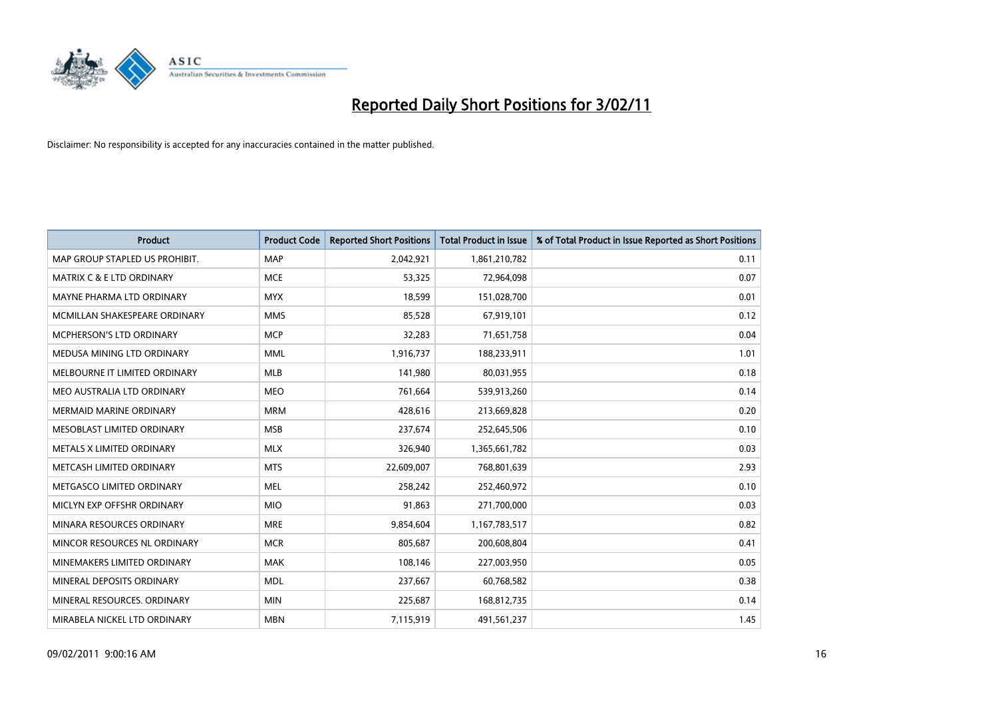

| <b>Product</b>                   | <b>Product Code</b> | <b>Reported Short Positions</b> | <b>Total Product in Issue</b> | % of Total Product in Issue Reported as Short Positions |
|----------------------------------|---------------------|---------------------------------|-------------------------------|---------------------------------------------------------|
| MAP GROUP STAPLED US PROHIBIT.   | <b>MAP</b>          | 2,042,921                       | 1,861,210,782                 | 0.11                                                    |
| MATRIX C & E LTD ORDINARY        | <b>MCE</b>          | 53,325                          | 72,964,098                    | 0.07                                                    |
| <b>MAYNE PHARMA LTD ORDINARY</b> | <b>MYX</b>          | 18,599                          | 151,028,700                   | 0.01                                                    |
| MCMILLAN SHAKESPEARE ORDINARY    | <b>MMS</b>          | 85,528                          | 67,919,101                    | 0.12                                                    |
| <b>MCPHERSON'S LTD ORDINARY</b>  | <b>MCP</b>          | 32,283                          | 71,651,758                    | 0.04                                                    |
| MEDUSA MINING LTD ORDINARY       | <b>MML</b>          | 1,916,737                       | 188,233,911                   | 1.01                                                    |
| MELBOURNE IT LIMITED ORDINARY    | <b>MLB</b>          | 141,980                         | 80,031,955                    | 0.18                                                    |
| MEO AUSTRALIA LTD ORDINARY       | <b>MEO</b>          | 761,664                         | 539,913,260                   | 0.14                                                    |
| MERMAID MARINE ORDINARY          | <b>MRM</b>          | 428,616                         | 213,669,828                   | 0.20                                                    |
| MESOBLAST LIMITED ORDINARY       | <b>MSB</b>          | 237,674                         | 252,645,506                   | 0.10                                                    |
| METALS X LIMITED ORDINARY        | <b>MLX</b>          | 326,940                         | 1,365,661,782                 | 0.03                                                    |
| METCASH LIMITED ORDINARY         | <b>MTS</b>          | 22,609,007                      | 768,801,639                   | 2.93                                                    |
| METGASCO LIMITED ORDINARY        | <b>MEL</b>          | 258,242                         | 252,460,972                   | 0.10                                                    |
| MICLYN EXP OFFSHR ORDINARY       | <b>MIO</b>          | 91,863                          | 271,700,000                   | 0.03                                                    |
| MINARA RESOURCES ORDINARY        | <b>MRE</b>          | 9,854,604                       | 1,167,783,517                 | 0.82                                                    |
| MINCOR RESOURCES NL ORDINARY     | <b>MCR</b>          | 805,687                         | 200,608,804                   | 0.41                                                    |
| MINEMAKERS LIMITED ORDINARY      | <b>MAK</b>          | 108,146                         | 227,003,950                   | 0.05                                                    |
| MINERAL DEPOSITS ORDINARY        | <b>MDL</b>          | 237,667                         | 60,768,582                    | 0.38                                                    |
| MINERAL RESOURCES, ORDINARY      | <b>MIN</b>          | 225,687                         | 168,812,735                   | 0.14                                                    |
| MIRABELA NICKEL LTD ORDINARY     | <b>MBN</b>          | 7,115,919                       | 491,561,237                   | 1.45                                                    |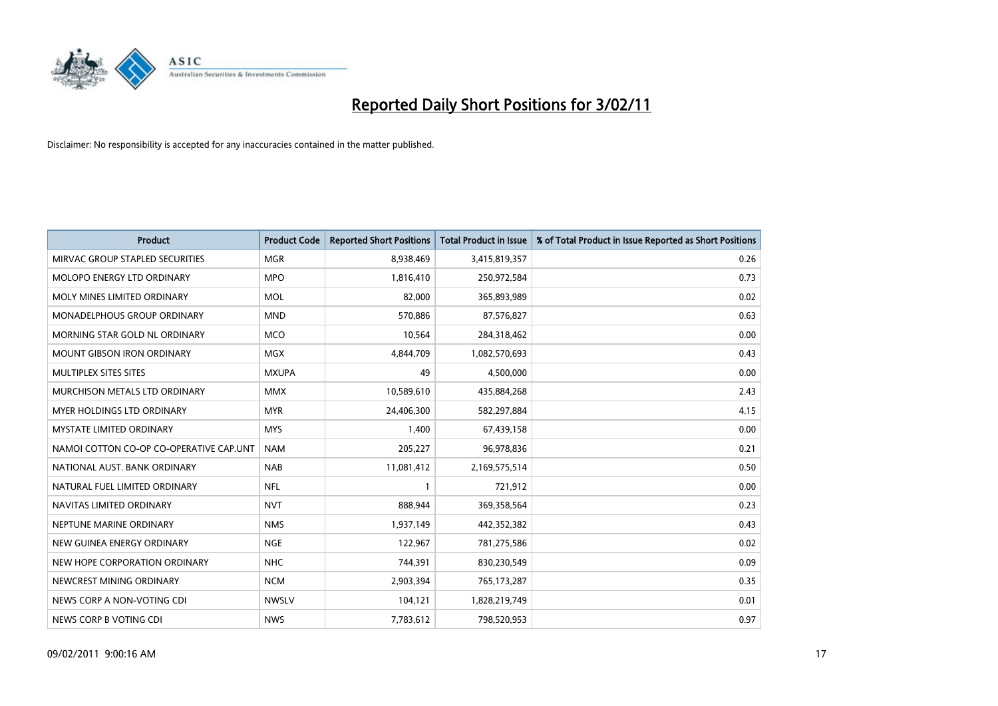

| Product                                 | <b>Product Code</b> | <b>Reported Short Positions</b> | <b>Total Product in Issue</b> | % of Total Product in Issue Reported as Short Positions |
|-----------------------------------------|---------------------|---------------------------------|-------------------------------|---------------------------------------------------------|
| MIRVAC GROUP STAPLED SECURITIES         | <b>MGR</b>          | 8,938,469                       | 3,415,819,357                 | 0.26                                                    |
| MOLOPO ENERGY LTD ORDINARY              | <b>MPO</b>          | 1,816,410                       | 250,972,584                   | 0.73                                                    |
| MOLY MINES LIMITED ORDINARY             | <b>MOL</b>          | 82,000                          | 365,893,989                   | 0.02                                                    |
| MONADELPHOUS GROUP ORDINARY             | <b>MND</b>          | 570,886                         | 87,576,827                    | 0.63                                                    |
| MORNING STAR GOLD NL ORDINARY           | <b>MCO</b>          | 10,564                          | 284,318,462                   | 0.00                                                    |
| <b>MOUNT GIBSON IRON ORDINARY</b>       | <b>MGX</b>          | 4,844,709                       | 1,082,570,693                 | 0.43                                                    |
| MULTIPLEX SITES SITES                   | <b>MXUPA</b>        | 49                              | 4,500,000                     | 0.00                                                    |
| MURCHISON METALS LTD ORDINARY           | <b>MMX</b>          | 10,589,610                      | 435,884,268                   | 2.43                                                    |
| MYER HOLDINGS LTD ORDINARY              | <b>MYR</b>          | 24,406,300                      | 582,297,884                   | 4.15                                                    |
| <b>MYSTATE LIMITED ORDINARY</b>         | <b>MYS</b>          | 1,400                           | 67,439,158                    | 0.00                                                    |
| NAMOI COTTON CO-OP CO-OPERATIVE CAP.UNT | <b>NAM</b>          | 205,227                         | 96,978,836                    | 0.21                                                    |
| NATIONAL AUST. BANK ORDINARY            | <b>NAB</b>          | 11,081,412                      | 2,169,575,514                 | 0.50                                                    |
| NATURAL FUEL LIMITED ORDINARY           | <b>NFL</b>          |                                 | 721,912                       | 0.00                                                    |
| NAVITAS LIMITED ORDINARY                | <b>NVT</b>          | 888,944                         | 369,358,564                   | 0.23                                                    |
| NEPTUNE MARINE ORDINARY                 | <b>NMS</b>          | 1,937,149                       | 442,352,382                   | 0.43                                                    |
| NEW GUINEA ENERGY ORDINARY              | <b>NGE</b>          | 122,967                         | 781,275,586                   | 0.02                                                    |
| NEW HOPE CORPORATION ORDINARY           | <b>NHC</b>          | 744,391                         | 830,230,549                   | 0.09                                                    |
| NEWCREST MINING ORDINARY                | <b>NCM</b>          | 2,903,394                       | 765,173,287                   | 0.35                                                    |
| NEWS CORP A NON-VOTING CDI              | <b>NWSLV</b>        | 104,121                         | 1,828,219,749                 | 0.01                                                    |
| NEWS CORP B VOTING CDI                  | <b>NWS</b>          | 7,783,612                       | 798,520,953                   | 0.97                                                    |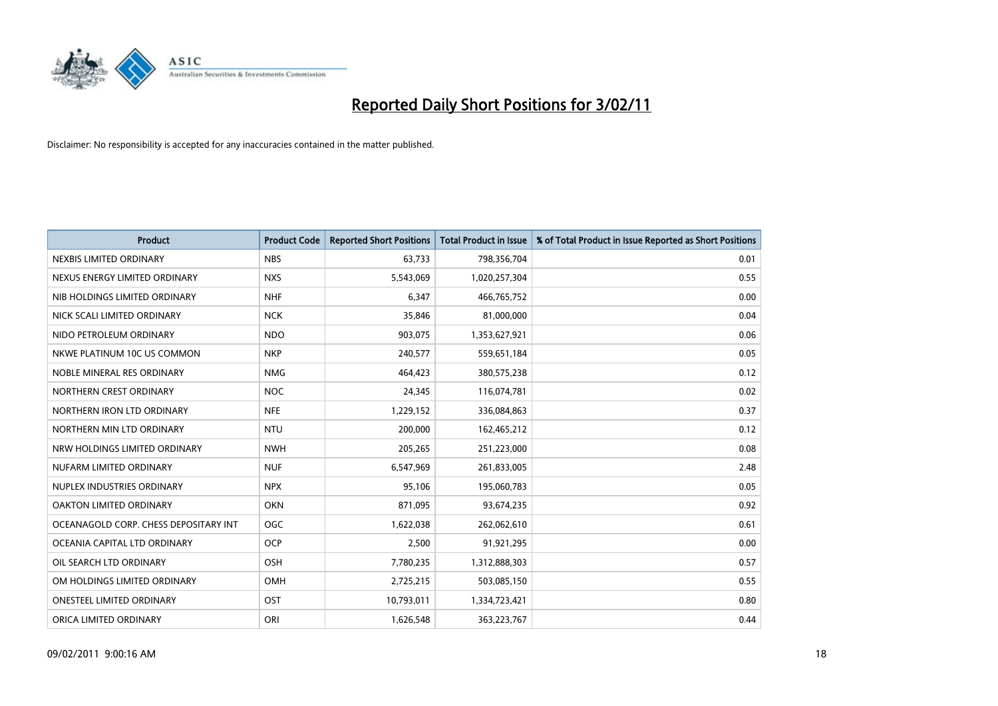

| <b>Product</b>                        | <b>Product Code</b> | <b>Reported Short Positions</b> | Total Product in Issue | % of Total Product in Issue Reported as Short Positions |
|---------------------------------------|---------------------|---------------------------------|------------------------|---------------------------------------------------------|
| NEXBIS LIMITED ORDINARY               | <b>NBS</b>          | 63,733                          | 798,356,704            | 0.01                                                    |
| NEXUS ENERGY LIMITED ORDINARY         | <b>NXS</b>          | 5,543,069                       | 1,020,257,304          | 0.55                                                    |
| NIB HOLDINGS LIMITED ORDINARY         | <b>NHF</b>          | 6.347                           | 466,765,752            | 0.00                                                    |
| NICK SCALI LIMITED ORDINARY           | <b>NCK</b>          | 35,846                          | 81,000,000             | 0.04                                                    |
| NIDO PETROLEUM ORDINARY               | <b>NDO</b>          | 903,075                         | 1,353,627,921          | 0.06                                                    |
| NKWE PLATINUM 10C US COMMON           | <b>NKP</b>          | 240,577                         | 559,651,184            | 0.05                                                    |
| NOBLE MINERAL RES ORDINARY            | <b>NMG</b>          | 464,423                         | 380,575,238            | 0.12                                                    |
| NORTHERN CREST ORDINARY               | <b>NOC</b>          | 24,345                          | 116,074,781            | 0.02                                                    |
| NORTHERN IRON LTD ORDINARY            | <b>NFE</b>          | 1,229,152                       | 336,084,863            | 0.37                                                    |
| NORTHERN MIN LTD ORDINARY             | <b>NTU</b>          | 200,000                         | 162,465,212            | 0.12                                                    |
| NRW HOLDINGS LIMITED ORDINARY         | <b>NWH</b>          | 205,265                         | 251,223,000            | 0.08                                                    |
| NUFARM LIMITED ORDINARY               | <b>NUF</b>          | 6,547,969                       | 261,833,005            | 2.48                                                    |
| NUPLEX INDUSTRIES ORDINARY            | <b>NPX</b>          | 95,106                          | 195,060,783            | 0.05                                                    |
| OAKTON LIMITED ORDINARY               | <b>OKN</b>          | 871,095                         | 93,674,235             | 0.92                                                    |
| OCEANAGOLD CORP. CHESS DEPOSITARY INT | <b>OGC</b>          | 1,622,038                       | 262,062,610            | 0.61                                                    |
| OCEANIA CAPITAL LTD ORDINARY          | <b>OCP</b>          | 2,500                           | 91,921,295             | 0.00                                                    |
| OIL SEARCH LTD ORDINARY               | OSH                 | 7,780,235                       | 1,312,888,303          | 0.57                                                    |
| OM HOLDINGS LIMITED ORDINARY          | OMH                 | 2,725,215                       | 503,085,150            | 0.55                                                    |
| <b>ONESTEEL LIMITED ORDINARY</b>      | OST                 | 10,793,011                      | 1,334,723,421          | 0.80                                                    |
| ORICA LIMITED ORDINARY                | ORI                 | 1,626,548                       | 363,223,767            | 0.44                                                    |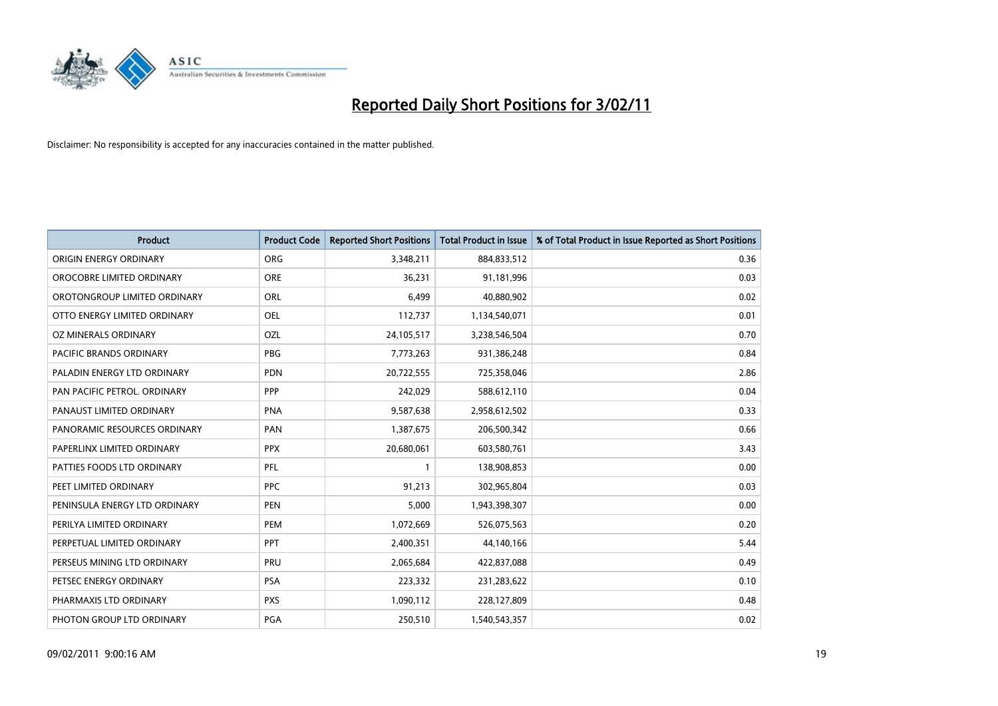

| <b>Product</b>                 | <b>Product Code</b> | <b>Reported Short Positions</b> | <b>Total Product in Issue</b> | % of Total Product in Issue Reported as Short Positions |
|--------------------------------|---------------------|---------------------------------|-------------------------------|---------------------------------------------------------|
| ORIGIN ENERGY ORDINARY         | ORG                 | 3,348,211                       | 884,833,512                   | 0.36                                                    |
| OROCOBRE LIMITED ORDINARY      | <b>ORE</b>          | 36,231                          | 91,181,996                    | 0.03                                                    |
| OROTONGROUP LIMITED ORDINARY   | <b>ORL</b>          | 6,499                           | 40,880,902                    | 0.02                                                    |
| OTTO ENERGY LIMITED ORDINARY   | <b>OEL</b>          | 112,737                         | 1,134,540,071                 | 0.01                                                    |
| OZ MINERALS ORDINARY           | OZL                 | 24,105,517                      | 3,238,546,504                 | 0.70                                                    |
| <b>PACIFIC BRANDS ORDINARY</b> | <b>PBG</b>          | 7,773,263                       | 931,386,248                   | 0.84                                                    |
| PALADIN ENERGY LTD ORDINARY    | <b>PDN</b>          | 20,722,555                      | 725,358,046                   | 2.86                                                    |
| PAN PACIFIC PETROL. ORDINARY   | PPP                 | 242,029                         | 588,612,110                   | 0.04                                                    |
| PANAUST LIMITED ORDINARY       | <b>PNA</b>          | 9,587,638                       | 2,958,612,502                 | 0.33                                                    |
| PANORAMIC RESOURCES ORDINARY   | PAN                 | 1,387,675                       | 206,500,342                   | 0.66                                                    |
| PAPERLINX LIMITED ORDINARY     | <b>PPX</b>          | 20,680,061                      | 603,580,761                   | 3.43                                                    |
| PATTIES FOODS LTD ORDINARY     | PFL                 |                                 | 138,908,853                   | 0.00                                                    |
| PEET LIMITED ORDINARY          | <b>PPC</b>          | 91,213                          | 302,965,804                   | 0.03                                                    |
| PENINSULA ENERGY LTD ORDINARY  | <b>PEN</b>          | 5,000                           | 1,943,398,307                 | 0.00                                                    |
| PERILYA LIMITED ORDINARY       | PEM                 | 1,072,669                       | 526,075,563                   | 0.20                                                    |
| PERPETUAL LIMITED ORDINARY     | <b>PPT</b>          | 2,400,351                       | 44,140,166                    | 5.44                                                    |
| PERSEUS MINING LTD ORDINARY    | PRU                 | 2,065,684                       | 422,837,088                   | 0.49                                                    |
| PETSEC ENERGY ORDINARY         | <b>PSA</b>          | 223,332                         | 231,283,622                   | 0.10                                                    |
| PHARMAXIS LTD ORDINARY         | <b>PXS</b>          | 1,090,112                       | 228,127,809                   | 0.48                                                    |
| PHOTON GROUP LTD ORDINARY      | PGA                 | 250,510                         | 1,540,543,357                 | 0.02                                                    |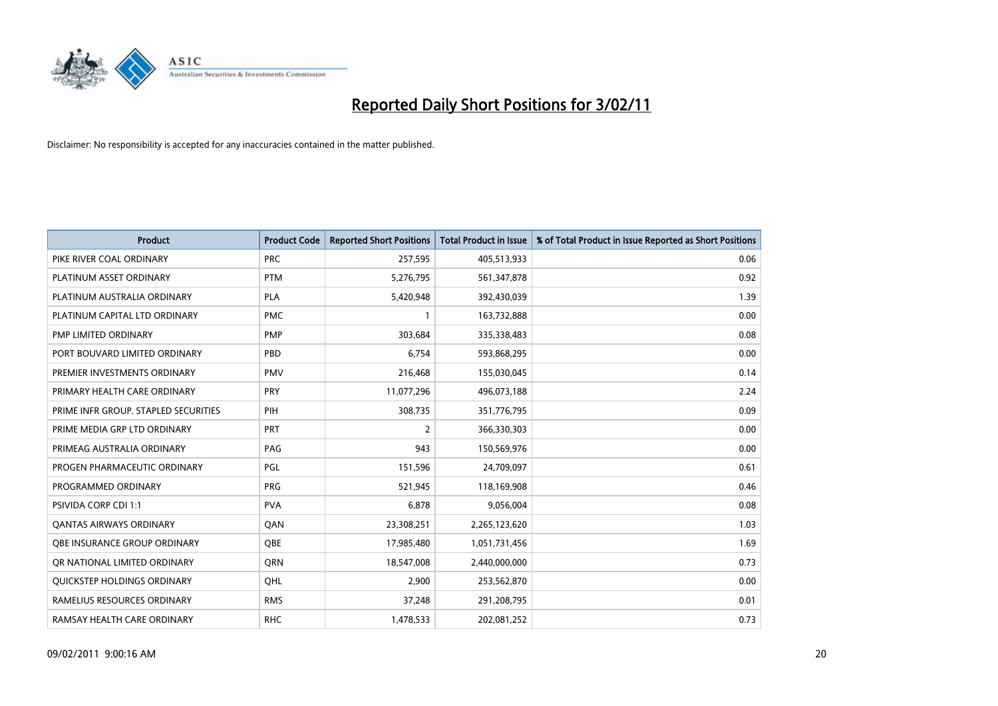

| Product                              | <b>Product Code</b> | <b>Reported Short Positions</b> | <b>Total Product in Issue</b> | % of Total Product in Issue Reported as Short Positions |
|--------------------------------------|---------------------|---------------------------------|-------------------------------|---------------------------------------------------------|
| PIKE RIVER COAL ORDINARY             | <b>PRC</b>          | 257,595                         | 405,513,933                   | 0.06                                                    |
| PLATINUM ASSET ORDINARY              | <b>PTM</b>          | 5,276,795                       | 561,347,878                   | 0.92                                                    |
| PLATINUM AUSTRALIA ORDINARY          | <b>PLA</b>          | 5,420,948                       | 392,430,039                   | 1.39                                                    |
| PLATINUM CAPITAL LTD ORDINARY        | <b>PMC</b>          |                                 | 163,732,888                   | 0.00                                                    |
| PMP LIMITED ORDINARY                 | <b>PMP</b>          | 303,684                         | 335,338,483                   | 0.08                                                    |
| PORT BOUVARD LIMITED ORDINARY        | PBD                 | 6,754                           | 593,868,295                   | 0.00                                                    |
| PREMIER INVESTMENTS ORDINARY         | <b>PMV</b>          | 216,468                         | 155,030,045                   | 0.14                                                    |
| PRIMARY HEALTH CARE ORDINARY         | PRY                 | 11,077,296                      | 496,073,188                   | 2.24                                                    |
| PRIME INFR GROUP. STAPLED SECURITIES | PIH                 | 308,735                         | 351,776,795                   | 0.09                                                    |
| PRIME MEDIA GRP LTD ORDINARY         | PRT                 | 2                               | 366,330,303                   | 0.00                                                    |
| PRIMEAG AUSTRALIA ORDINARY           | PAG                 | 943                             | 150,569,976                   | 0.00                                                    |
| PROGEN PHARMACEUTIC ORDINARY         | PGL                 | 151,596                         | 24,709,097                    | 0.61                                                    |
| PROGRAMMED ORDINARY                  | <b>PRG</b>          | 521,945                         | 118,169,908                   | 0.46                                                    |
| <b>PSIVIDA CORP CDI 1:1</b>          | <b>PVA</b>          | 6,878                           | 9,056,004                     | 0.08                                                    |
| <b>QANTAS AIRWAYS ORDINARY</b>       | QAN                 | 23,308,251                      | 2,265,123,620                 | 1.03                                                    |
| OBE INSURANCE GROUP ORDINARY         | <b>OBE</b>          | 17,985,480                      | 1,051,731,456                 | 1.69                                                    |
| OR NATIONAL LIMITED ORDINARY         | <b>ORN</b>          | 18,547,008                      | 2,440,000,000                 | 0.73                                                    |
| QUICKSTEP HOLDINGS ORDINARY          | OHL                 | 2,900                           | 253,562,870                   | 0.00                                                    |
| RAMELIUS RESOURCES ORDINARY          | <b>RMS</b>          | 37,248                          | 291,208,795                   | 0.01                                                    |
| RAMSAY HEALTH CARE ORDINARY          | <b>RHC</b>          | 1,478,533                       | 202,081,252                   | 0.73                                                    |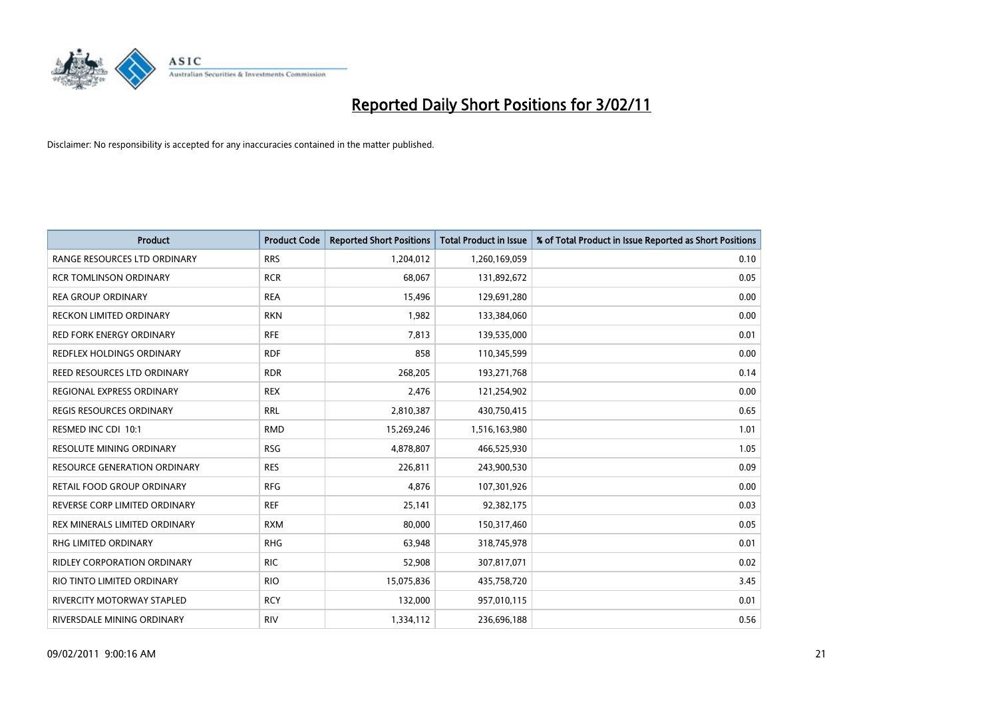

| <b>Product</b>                      | <b>Product Code</b> | <b>Reported Short Positions</b> | <b>Total Product in Issue</b> | % of Total Product in Issue Reported as Short Positions |
|-------------------------------------|---------------------|---------------------------------|-------------------------------|---------------------------------------------------------|
| RANGE RESOURCES LTD ORDINARY        | <b>RRS</b>          | 1,204,012                       | 1,260,169,059                 | 0.10                                                    |
| <b>RCR TOMLINSON ORDINARY</b>       | <b>RCR</b>          | 68,067                          | 131,892,672                   | 0.05                                                    |
| <b>REA GROUP ORDINARY</b>           | <b>REA</b>          | 15,496                          | 129,691,280                   | 0.00                                                    |
| RECKON LIMITED ORDINARY             | <b>RKN</b>          | 1,982                           | 133,384,060                   | 0.00                                                    |
| <b>RED FORK ENERGY ORDINARY</b>     | <b>RFE</b>          | 7,813                           | 139,535,000                   | 0.01                                                    |
| REDFLEX HOLDINGS ORDINARY           | <b>RDF</b>          | 858                             | 110,345,599                   | 0.00                                                    |
| REED RESOURCES LTD ORDINARY         | <b>RDR</b>          | 268,205                         | 193,271,768                   | 0.14                                                    |
| REGIONAL EXPRESS ORDINARY           | <b>REX</b>          | 2,476                           | 121,254,902                   | 0.00                                                    |
| REGIS RESOURCES ORDINARY            | <b>RRL</b>          | 2,810,387                       | 430,750,415                   | 0.65                                                    |
| RESMED INC CDI 10:1                 | <b>RMD</b>          | 15,269,246                      | 1,516,163,980                 | 1.01                                                    |
| RESOLUTE MINING ORDINARY            | <b>RSG</b>          | 4,878,807                       | 466,525,930                   | 1.05                                                    |
| <b>RESOURCE GENERATION ORDINARY</b> | <b>RES</b>          | 226,811                         | 243,900,530                   | 0.09                                                    |
| RETAIL FOOD GROUP ORDINARY          | <b>RFG</b>          | 4,876                           | 107,301,926                   | 0.00                                                    |
| REVERSE CORP LIMITED ORDINARY       | <b>REF</b>          | 25,141                          | 92,382,175                    | 0.03                                                    |
| REX MINERALS LIMITED ORDINARY       | <b>RXM</b>          | 80,000                          | 150,317,460                   | 0.05                                                    |
| <b>RHG LIMITED ORDINARY</b>         | <b>RHG</b>          | 63,948                          | 318,745,978                   | 0.01                                                    |
| <b>RIDLEY CORPORATION ORDINARY</b>  | <b>RIC</b>          | 52,908                          | 307,817,071                   | 0.02                                                    |
| RIO TINTO LIMITED ORDINARY          | <b>RIO</b>          | 15,075,836                      | 435,758,720                   | 3.45                                                    |
| <b>RIVERCITY MOTORWAY STAPLED</b>   | <b>RCY</b>          | 132,000                         | 957,010,115                   | 0.01                                                    |
| RIVERSDALE MINING ORDINARY          | <b>RIV</b>          | 1,334,112                       | 236,696,188                   | 0.56                                                    |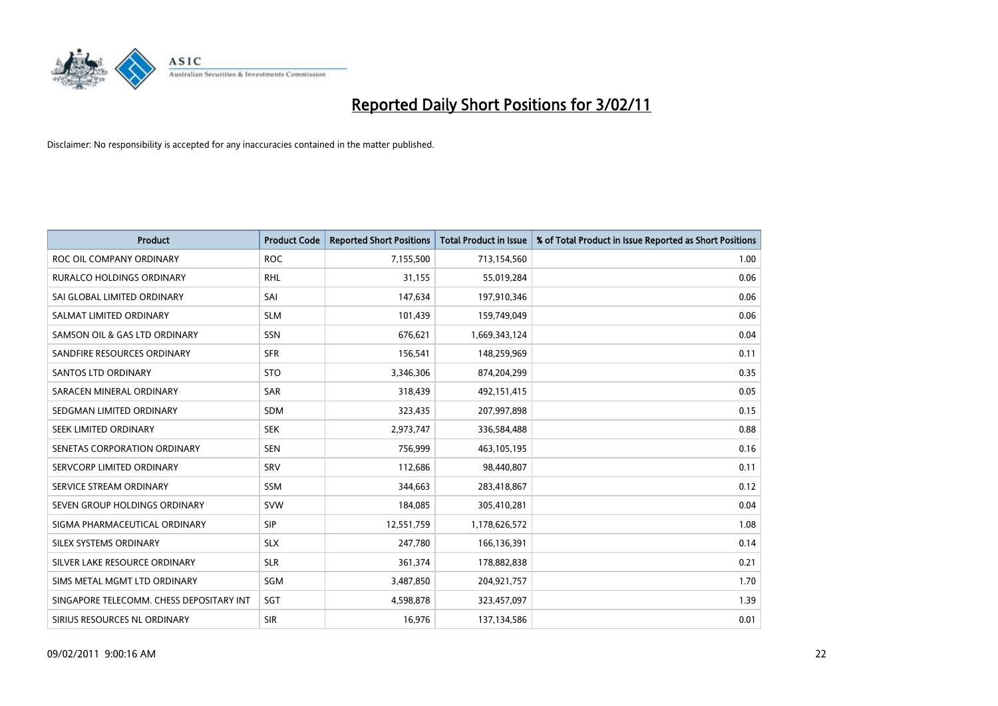

| Product                                  | <b>Product Code</b> | <b>Reported Short Positions</b> | <b>Total Product in Issue</b> | % of Total Product in Issue Reported as Short Positions |
|------------------------------------------|---------------------|---------------------------------|-------------------------------|---------------------------------------------------------|
| ROC OIL COMPANY ORDINARY                 | <b>ROC</b>          | 7,155,500                       | 713,154,560                   | 1.00                                                    |
| <b>RURALCO HOLDINGS ORDINARY</b>         | <b>RHL</b>          | 31,155                          | 55,019,284                    | 0.06                                                    |
| SAI GLOBAL LIMITED ORDINARY              | SAI                 | 147,634                         | 197,910,346                   | 0.06                                                    |
| SALMAT LIMITED ORDINARY                  | <b>SLM</b>          | 101,439                         | 159,749,049                   | 0.06                                                    |
| SAMSON OIL & GAS LTD ORDINARY            | SSN                 | 676,621                         | 1,669,343,124                 | 0.04                                                    |
| SANDFIRE RESOURCES ORDINARY              | <b>SFR</b>          | 156,541                         | 148,259,969                   | 0.11                                                    |
| SANTOS LTD ORDINARY                      | <b>STO</b>          | 3,346,306                       | 874,204,299                   | 0.35                                                    |
| SARACEN MINERAL ORDINARY                 | SAR                 | 318,439                         | 492,151,415                   | 0.05                                                    |
| SEDGMAN LIMITED ORDINARY                 | <b>SDM</b>          | 323,435                         | 207,997,898                   | 0.15                                                    |
| SEEK LIMITED ORDINARY                    | <b>SEK</b>          | 2,973,747                       | 336,584,488                   | 0.88                                                    |
| SENETAS CORPORATION ORDINARY             | <b>SEN</b>          | 756,999                         | 463,105,195                   | 0.16                                                    |
| SERVCORP LIMITED ORDINARY                | SRV                 | 112,686                         | 98,440,807                    | 0.11                                                    |
| SERVICE STREAM ORDINARY                  | <b>SSM</b>          | 344.663                         | 283,418,867                   | 0.12                                                    |
| SEVEN GROUP HOLDINGS ORDINARY            | <b>SVW</b>          | 184,085                         | 305,410,281                   | 0.04                                                    |
| SIGMA PHARMACEUTICAL ORDINARY            | <b>SIP</b>          | 12,551,759                      | 1,178,626,572                 | 1.08                                                    |
| SILEX SYSTEMS ORDINARY                   | <b>SLX</b>          | 247,780                         | 166,136,391                   | 0.14                                                    |
| SILVER LAKE RESOURCE ORDINARY            | <b>SLR</b>          | 361,374                         | 178,882,838                   | 0.21                                                    |
| SIMS METAL MGMT LTD ORDINARY             | <b>SGM</b>          | 3,487,850                       | 204,921,757                   | 1.70                                                    |
| SINGAPORE TELECOMM. CHESS DEPOSITARY INT | SGT                 | 4,598,878                       | 323,457,097                   | 1.39                                                    |
| SIRIUS RESOURCES NL ORDINARY             | <b>SIR</b>          | 16,976                          | 137,134,586                   | 0.01                                                    |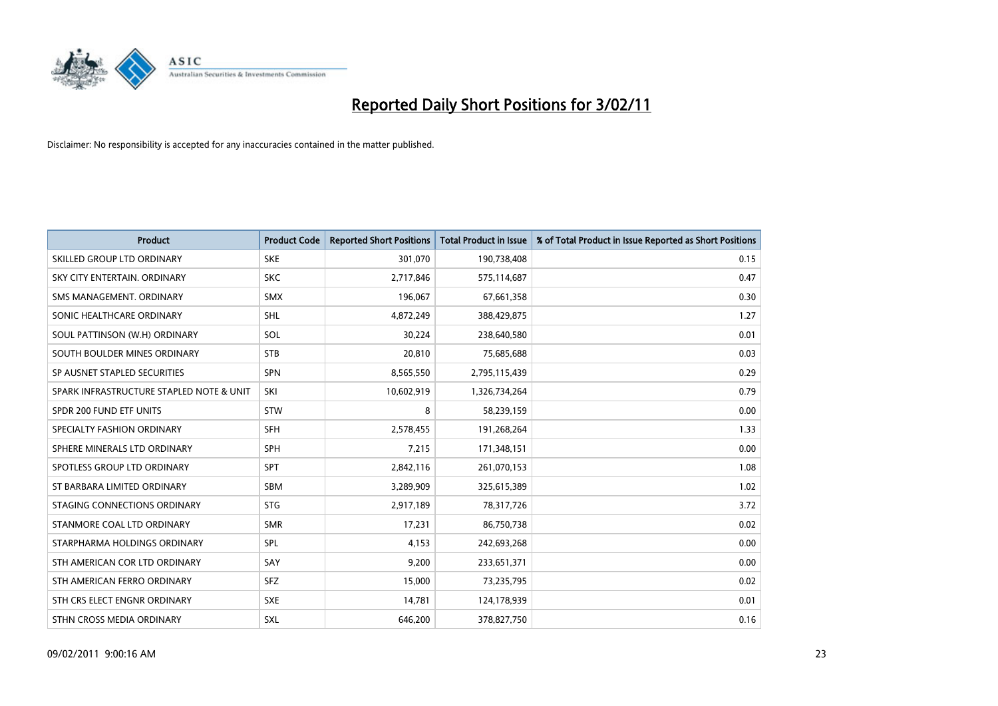

| <b>Product</b>                           | <b>Product Code</b> | <b>Reported Short Positions</b> | Total Product in Issue | % of Total Product in Issue Reported as Short Positions |
|------------------------------------------|---------------------|---------------------------------|------------------------|---------------------------------------------------------|
| SKILLED GROUP LTD ORDINARY               | <b>SKE</b>          | 301,070                         | 190,738,408            | 0.15                                                    |
| SKY CITY ENTERTAIN. ORDINARY             | <b>SKC</b>          | 2,717,846                       | 575,114,687            | 0.47                                                    |
| SMS MANAGEMENT, ORDINARY                 | <b>SMX</b>          | 196,067                         | 67,661,358             | 0.30                                                    |
| SONIC HEALTHCARE ORDINARY                | <b>SHL</b>          | 4,872,249                       | 388,429,875            | 1.27                                                    |
| SOUL PATTINSON (W.H) ORDINARY            | SOL                 | 30,224                          | 238,640,580            | 0.01                                                    |
| SOUTH BOULDER MINES ORDINARY             | <b>STB</b>          | 20,810                          | 75,685,688             | 0.03                                                    |
| SP AUSNET STAPLED SECURITIES             | <b>SPN</b>          | 8,565,550                       | 2,795,115,439          | 0.29                                                    |
| SPARK INFRASTRUCTURE STAPLED NOTE & UNIT | SKI                 | 10,602,919                      | 1,326,734,264          | 0.79                                                    |
| SPDR 200 FUND ETF UNITS                  | <b>STW</b>          | 8                               | 58,239,159             | 0.00                                                    |
| SPECIALTY FASHION ORDINARY               | <b>SFH</b>          | 2,578,455                       | 191,268,264            | 1.33                                                    |
| SPHERE MINERALS LTD ORDINARY             | <b>SPH</b>          | 7,215                           | 171,348,151            | 0.00                                                    |
| SPOTLESS GROUP LTD ORDINARY              | <b>SPT</b>          | 2,842,116                       | 261,070,153            | 1.08                                                    |
| ST BARBARA LIMITED ORDINARY              | <b>SBM</b>          | 3,289,909                       | 325,615,389            | 1.02                                                    |
| STAGING CONNECTIONS ORDINARY             | <b>STG</b>          | 2,917,189                       | 78,317,726             | 3.72                                                    |
| STANMORE COAL LTD ORDINARY               | <b>SMR</b>          | 17,231                          | 86,750,738             | 0.02                                                    |
| STARPHARMA HOLDINGS ORDINARY             | SPL                 | 4,153                           | 242,693,268            | 0.00                                                    |
| STH AMERICAN COR LTD ORDINARY            | SAY                 | 9,200                           | 233,651,371            | 0.00                                                    |
| STH AMERICAN FERRO ORDINARY              | SFZ                 | 15,000                          | 73,235,795             | 0.02                                                    |
| STH CRS ELECT ENGNR ORDINARY             | <b>SXE</b>          | 14,781                          | 124,178,939            | 0.01                                                    |
| STHN CROSS MEDIA ORDINARY                | <b>SXL</b>          | 646.200                         | 378,827,750            | 0.16                                                    |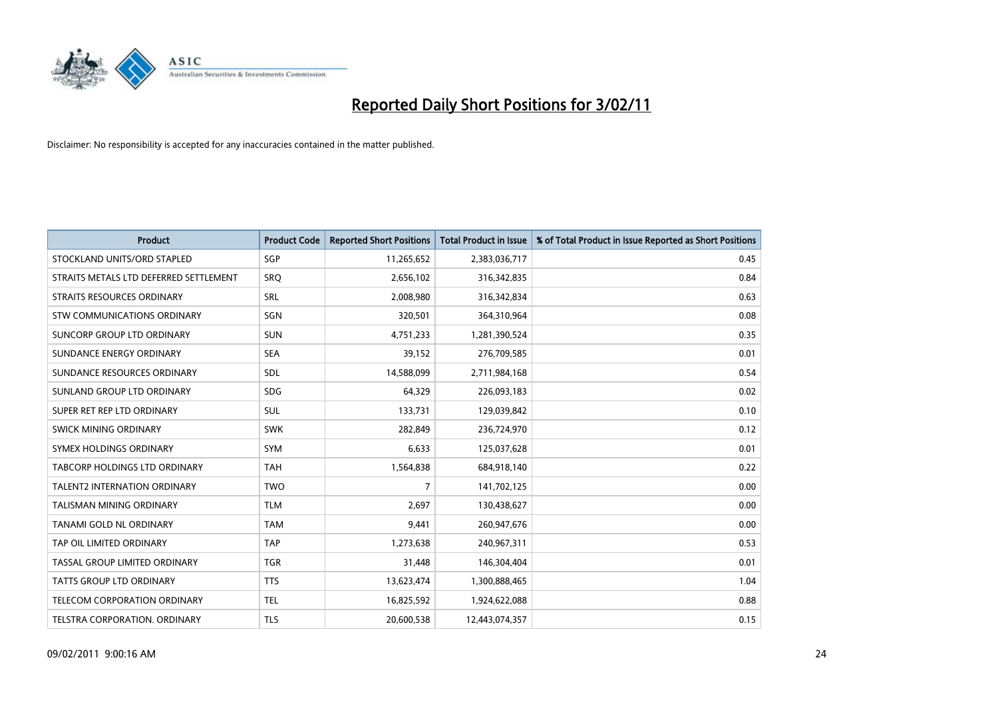

| <b>Product</b>                         | <b>Product Code</b> | <b>Reported Short Positions</b> | <b>Total Product in Issue</b> | % of Total Product in Issue Reported as Short Positions |
|----------------------------------------|---------------------|---------------------------------|-------------------------------|---------------------------------------------------------|
| STOCKLAND UNITS/ORD STAPLED            | SGP                 | 11,265,652                      | 2,383,036,717                 | 0.45                                                    |
| STRAITS METALS LTD DEFERRED SETTLEMENT | SRO                 | 2,656,102                       | 316,342,835                   | 0.84                                                    |
| <b>STRAITS RESOURCES ORDINARY</b>      | <b>SRL</b>          | 2,008,980                       | 316,342,834                   | 0.63                                                    |
| STW COMMUNICATIONS ORDINARY            | SGN                 | 320,501                         | 364,310,964                   | 0.08                                                    |
| <b>SUNCORP GROUP LTD ORDINARY</b>      | <b>SUN</b>          | 4,751,233                       | 1,281,390,524                 | 0.35                                                    |
| SUNDANCE ENERGY ORDINARY               | <b>SEA</b>          | 39,152                          | 276,709,585                   | 0.01                                                    |
| SUNDANCE RESOURCES ORDINARY            | SDL                 | 14,588,099                      | 2,711,984,168                 | 0.54                                                    |
| SUNLAND GROUP LTD ORDINARY             | <b>SDG</b>          | 64,329                          | 226,093,183                   | 0.02                                                    |
| SUPER RET REP LTD ORDINARY             | SUL                 | 133,731                         | 129,039,842                   | 0.10                                                    |
| SWICK MINING ORDINARY                  | <b>SWK</b>          | 282,849                         | 236,724,970                   | 0.12                                                    |
| SYMEX HOLDINGS ORDINARY                | SYM                 | 6,633                           | 125,037,628                   | 0.01                                                    |
| TABCORP HOLDINGS LTD ORDINARY          | <b>TAH</b>          | 1,564,838                       | 684,918,140                   | 0.22                                                    |
| <b>TALENT2 INTERNATION ORDINARY</b>    | <b>TWO</b>          | 7                               | 141,702,125                   | 0.00                                                    |
| <b>TALISMAN MINING ORDINARY</b>        | <b>TLM</b>          | 2,697                           | 130,438,627                   | 0.00                                                    |
| TANAMI GOLD NL ORDINARY                | <b>TAM</b>          | 9,441                           | 260,947,676                   | 0.00                                                    |
| TAP OIL LIMITED ORDINARY               | <b>TAP</b>          | 1,273,638                       | 240,967,311                   | 0.53                                                    |
| TASSAL GROUP LIMITED ORDINARY          | <b>TGR</b>          | 31,448                          | 146,304,404                   | 0.01                                                    |
| TATTS GROUP LTD ORDINARY               | <b>TTS</b>          | 13,623,474                      | 1,300,888,465                 | 1.04                                                    |
| TELECOM CORPORATION ORDINARY           | <b>TEL</b>          | 16,825,592                      | 1,924,622,088                 | 0.88                                                    |
| TELSTRA CORPORATION. ORDINARY          | <b>TLS</b>          | 20,600,538                      | 12,443,074,357                | 0.15                                                    |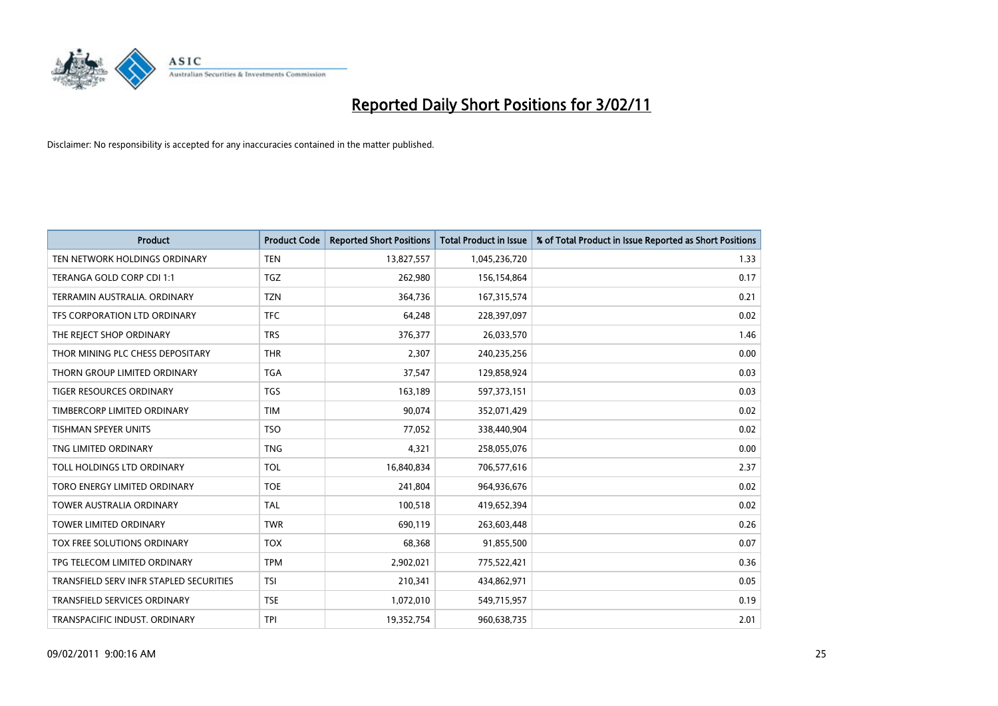

| <b>Product</b>                          | <b>Product Code</b> | <b>Reported Short Positions</b> | Total Product in Issue | % of Total Product in Issue Reported as Short Positions |
|-----------------------------------------|---------------------|---------------------------------|------------------------|---------------------------------------------------------|
| TEN NETWORK HOLDINGS ORDINARY           | <b>TEN</b>          | 13,827,557                      | 1,045,236,720          | 1.33                                                    |
| TERANGA GOLD CORP CDI 1:1               | TGZ                 | 262,980                         | 156,154,864            | 0.17                                                    |
| TERRAMIN AUSTRALIA, ORDINARY            | <b>TZN</b>          | 364,736                         | 167,315,574            | 0.21                                                    |
| TFS CORPORATION LTD ORDINARY            | <b>TFC</b>          | 64,248                          | 228,397,097            | 0.02                                                    |
| THE REJECT SHOP ORDINARY                | <b>TRS</b>          | 376,377                         | 26,033,570             | 1.46                                                    |
| THOR MINING PLC CHESS DEPOSITARY        | <b>THR</b>          | 2,307                           | 240,235,256            | 0.00                                                    |
| THORN GROUP LIMITED ORDINARY            | <b>TGA</b>          | 37,547                          | 129,858,924            | 0.03                                                    |
| TIGER RESOURCES ORDINARY                | <b>TGS</b>          | 163,189                         | 597,373,151            | 0.03                                                    |
| TIMBERCORP LIMITED ORDINARY             | <b>TIM</b>          | 90,074                          | 352,071,429            | 0.02                                                    |
| <b>TISHMAN SPEYER UNITS</b>             | <b>TSO</b>          | 77,052                          | 338,440,904            | 0.02                                                    |
| TNG LIMITED ORDINARY                    | <b>TNG</b>          | 4,321                           | 258,055,076            | 0.00                                                    |
| TOLL HOLDINGS LTD ORDINARY              | <b>TOL</b>          | 16,840,834                      | 706,577,616            | 2.37                                                    |
| TORO ENERGY LIMITED ORDINARY            | <b>TOE</b>          | 241,804                         | 964,936,676            | 0.02                                                    |
| <b>TOWER AUSTRALIA ORDINARY</b>         | <b>TAL</b>          | 100,518                         | 419,652,394            | 0.02                                                    |
| <b>TOWER LIMITED ORDINARY</b>           | <b>TWR</b>          | 690,119                         | 263,603,448            | 0.26                                                    |
| TOX FREE SOLUTIONS ORDINARY             | <b>TOX</b>          | 68,368                          | 91,855,500             | 0.07                                                    |
| TPG TELECOM LIMITED ORDINARY            | <b>TPM</b>          | 2,902,021                       | 775,522,421            | 0.36                                                    |
| TRANSFIELD SERV INFR STAPLED SECURITIES | <b>TSI</b>          | 210,341                         | 434,862,971            | 0.05                                                    |
| <b>TRANSFIELD SERVICES ORDINARY</b>     | <b>TSE</b>          | 1,072,010                       | 549,715,957            | 0.19                                                    |
| TRANSPACIFIC INDUST. ORDINARY           | <b>TPI</b>          | 19,352,754                      | 960,638,735            | 2.01                                                    |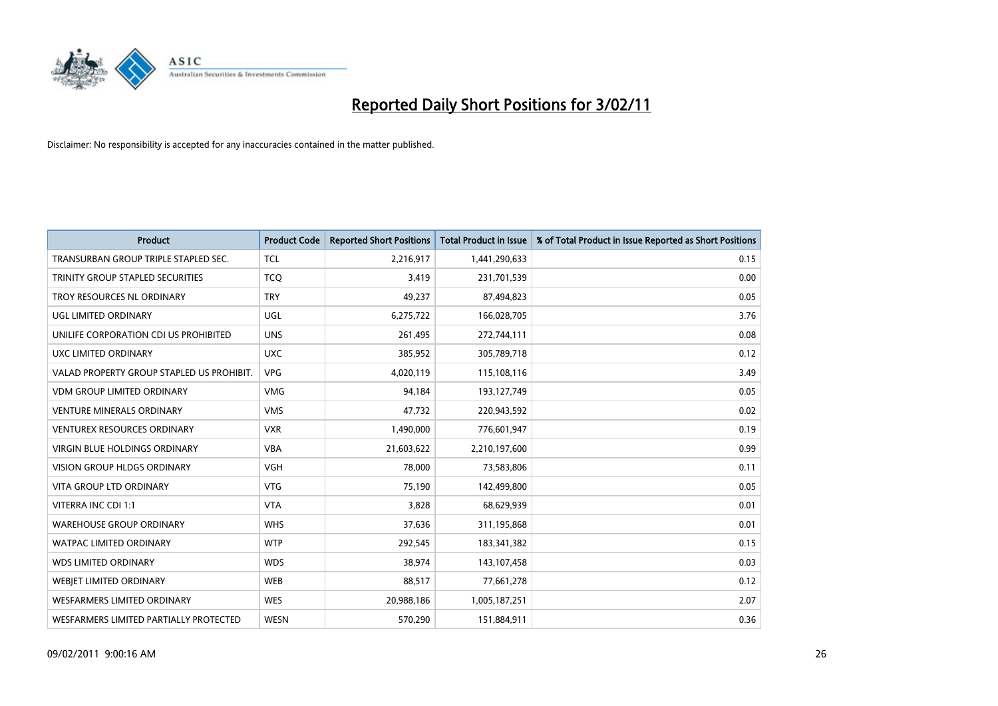

| <b>Product</b>                            | <b>Product Code</b> | <b>Reported Short Positions</b> | Total Product in Issue | % of Total Product in Issue Reported as Short Positions |
|-------------------------------------------|---------------------|---------------------------------|------------------------|---------------------------------------------------------|
| TRANSURBAN GROUP TRIPLE STAPLED SEC.      | <b>TCL</b>          | 2,216,917                       | 1,441,290,633          | 0.15                                                    |
| TRINITY GROUP STAPLED SECURITIES          | <b>TCO</b>          | 3,419                           | 231,701,539            | 0.00                                                    |
| TROY RESOURCES NL ORDINARY                | <b>TRY</b>          | 49,237                          | 87,494,823             | 0.05                                                    |
| UGL LIMITED ORDINARY                      | <b>UGL</b>          | 6,275,722                       | 166,028,705            | 3.76                                                    |
| UNILIFE CORPORATION CDI US PROHIBITED     | <b>UNS</b>          | 261,495                         | 272,744,111            | 0.08                                                    |
| UXC LIMITED ORDINARY                      | <b>UXC</b>          | 385,952                         | 305,789,718            | 0.12                                                    |
| VALAD PROPERTY GROUP STAPLED US PROHIBIT. | <b>VPG</b>          | 4,020,119                       | 115,108,116            | 3.49                                                    |
| <b>VDM GROUP LIMITED ORDINARY</b>         | <b>VMG</b>          | 94,184                          | 193,127,749            | 0.05                                                    |
| <b>VENTURE MINERALS ORDINARY</b>          | <b>VMS</b>          | 47,732                          | 220,943,592            | 0.02                                                    |
| <b>VENTUREX RESOURCES ORDINARY</b>        | <b>VXR</b>          | 1,490,000                       | 776,601,947            | 0.19                                                    |
| VIRGIN BLUE HOLDINGS ORDINARY             | <b>VBA</b>          | 21,603,622                      | 2,210,197,600          | 0.99                                                    |
| <b>VISION GROUP HLDGS ORDINARY</b>        | <b>VGH</b>          | 78,000                          | 73,583,806             | 0.11                                                    |
| <b>VITA GROUP LTD ORDINARY</b>            | <b>VTG</b>          | 75,190                          | 142,499,800            | 0.05                                                    |
| VITERRA INC CDI 1:1                       | <b>VTA</b>          | 3,828                           | 68,629,939             | 0.01                                                    |
| <b>WAREHOUSE GROUP ORDINARY</b>           | <b>WHS</b>          | 37,636                          | 311,195,868            | 0.01                                                    |
| <b>WATPAC LIMITED ORDINARY</b>            | <b>WTP</b>          | 292.545                         | 183,341,382            | 0.15                                                    |
| <b>WDS LIMITED ORDINARY</b>               | <b>WDS</b>          | 38,974                          | 143,107,458            | 0.03                                                    |
| <b>WEBIET LIMITED ORDINARY</b>            | <b>WEB</b>          | 88,517                          | 77,661,278             | 0.12                                                    |
| WESFARMERS LIMITED ORDINARY               | <b>WES</b>          | 20,988,186                      | 1,005,187,251          | 2.07                                                    |
| WESFARMERS LIMITED PARTIALLY PROTECTED    | <b>WESN</b>         | 570,290                         | 151,884,911            | 0.36                                                    |